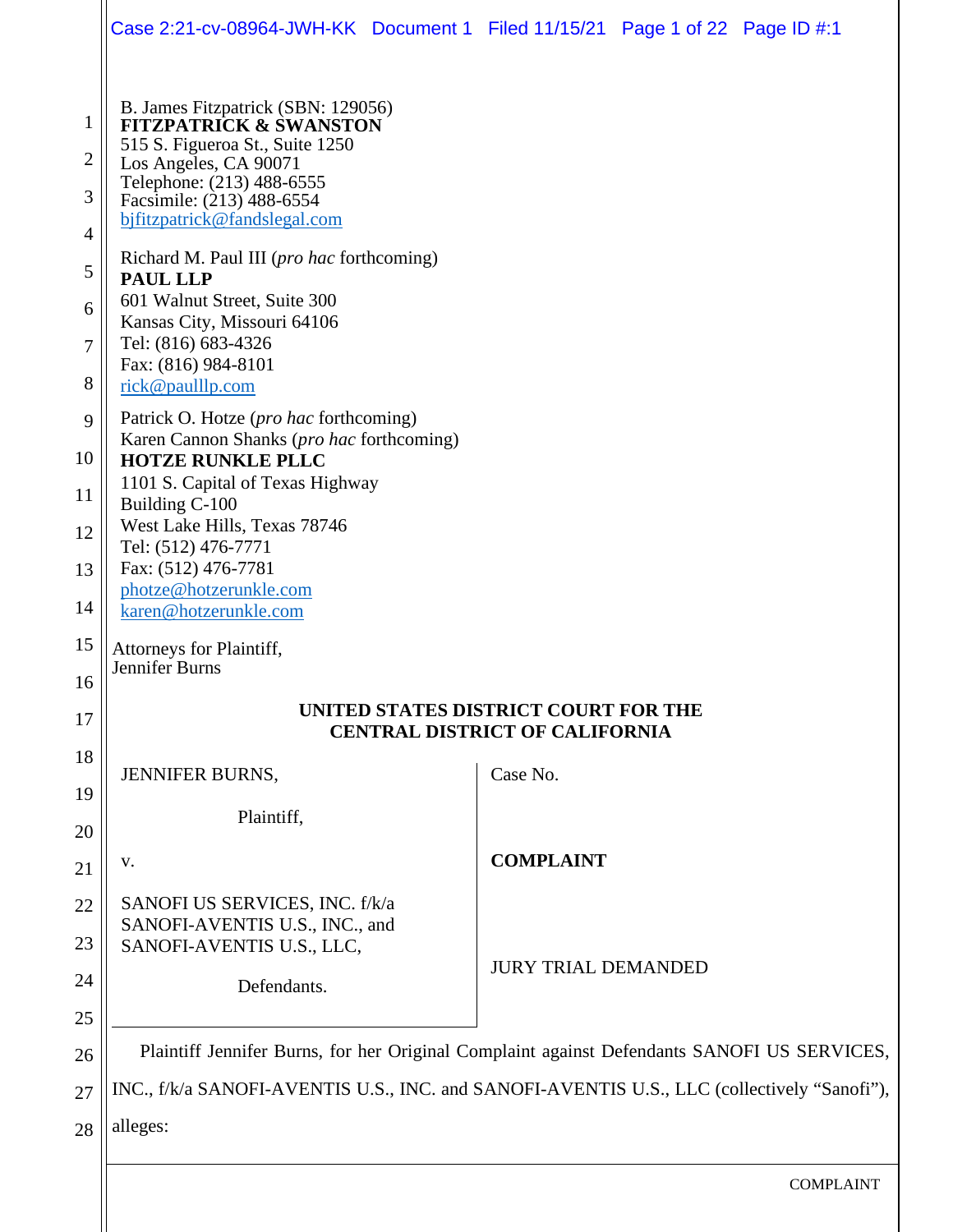|                                                        | Case 2:21-cv-08964-JWH-KK Document 1 Filed 11/15/21 Page 1 of 22 Page ID #:1                                                                                                                                                                                                                                                                                                                                                                                                     |  |                            |  |                  |  |  |  |
|--------------------------------------------------------|----------------------------------------------------------------------------------------------------------------------------------------------------------------------------------------------------------------------------------------------------------------------------------------------------------------------------------------------------------------------------------------------------------------------------------------------------------------------------------|--|----------------------------|--|------------------|--|--|--|
| 1<br>2<br>3<br>$\overline{4}$<br>5<br>6<br>7<br>8<br>9 | B. James Fitzpatrick (SBN: 129056)<br><b>FITZPATRICK &amp; SWANSTON</b><br>515 S. Figueroa St., Suite 1250<br>Los Angeles, CA 90071<br>Telephone: (213) 488-6555<br>Facsimile: (213) 488-6554<br>bjfitzpatrick@fandslegal.com<br>Richard M. Paul III ( <i>pro hac</i> forthcoming)<br><b>PAUL LLP</b><br>601 Walnut Street, Suite 300<br>Kansas City, Missouri 64106<br>Tel: (816) 683-4326<br>Fax: (816) 984-8101<br>rick@paulllp.com<br>Patrick O. Hotze (pro hac forthcoming) |  |                            |  |                  |  |  |  |
| 10                                                     | Karen Cannon Shanks (pro hac forthcoming)<br><b>HOTZE RUNKLE PLLC</b><br>1101 S. Capital of Texas Highway<br>Building C-100<br>West Lake Hills, Texas 78746<br>Tel: (512) 476-7771<br>Fax: (512) 476-7781<br>photze@hotzerunkle.com<br>karen@hotzerunkle.com                                                                                                                                                                                                                     |  |                            |  |                  |  |  |  |
| 11<br>12                                               |                                                                                                                                                                                                                                                                                                                                                                                                                                                                                  |  |                            |  |                  |  |  |  |
| 13                                                     |                                                                                                                                                                                                                                                                                                                                                                                                                                                                                  |  |                            |  |                  |  |  |  |
| 14                                                     |                                                                                                                                                                                                                                                                                                                                                                                                                                                                                  |  |                            |  |                  |  |  |  |
| 15                                                     | Attorneys for Plaintiff,<br>Jennifer Burns                                                                                                                                                                                                                                                                                                                                                                                                                                       |  |                            |  |                  |  |  |  |
| 16                                                     | UNITED STATES DISTRICT COURT FOR THE                                                                                                                                                                                                                                                                                                                                                                                                                                             |  |                            |  |                  |  |  |  |
| 17                                                     | <b>CENTRAL DISTRICT OF CALIFORNIA</b>                                                                                                                                                                                                                                                                                                                                                                                                                                            |  |                            |  |                  |  |  |  |
| 18<br>19                                               | <b>JENNIFER BURNS,</b>                                                                                                                                                                                                                                                                                                                                                                                                                                                           |  | Case No.                   |  |                  |  |  |  |
| 20                                                     | Plaintiff,                                                                                                                                                                                                                                                                                                                                                                                                                                                                       |  |                            |  |                  |  |  |  |
| 21                                                     | V.                                                                                                                                                                                                                                                                                                                                                                                                                                                                               |  | <b>COMPLAINT</b>           |  |                  |  |  |  |
| 22                                                     | SANOFI US SERVICES, INC. f/k/a                                                                                                                                                                                                                                                                                                                                                                                                                                                   |  |                            |  |                  |  |  |  |
| 23                                                     | SANOFI-AVENTIS U.S., INC., and<br>SANOFI-AVENTIS U.S., LLC,                                                                                                                                                                                                                                                                                                                                                                                                                      |  |                            |  |                  |  |  |  |
| 24                                                     | Defendants.                                                                                                                                                                                                                                                                                                                                                                                                                                                                      |  | <b>JURY TRIAL DEMANDED</b> |  |                  |  |  |  |
| 25                                                     |                                                                                                                                                                                                                                                                                                                                                                                                                                                                                  |  |                            |  |                  |  |  |  |
| 26                                                     | Plaintiff Jennifer Burns, for her Original Complaint against Defendants SANOFI US SERVICES,                                                                                                                                                                                                                                                                                                                                                                                      |  |                            |  |                  |  |  |  |
| 27                                                     | INC., f/k/a SANOFI-AVENTIS U.S., INC. and SANOFI-AVENTIS U.S., LLC (collectively "Sanofi"),                                                                                                                                                                                                                                                                                                                                                                                      |  |                            |  |                  |  |  |  |
| 28                                                     | alleges:                                                                                                                                                                                                                                                                                                                                                                                                                                                                         |  |                            |  |                  |  |  |  |
|                                                        |                                                                                                                                                                                                                                                                                                                                                                                                                                                                                  |  |                            |  | <b>COMPLAINT</b> |  |  |  |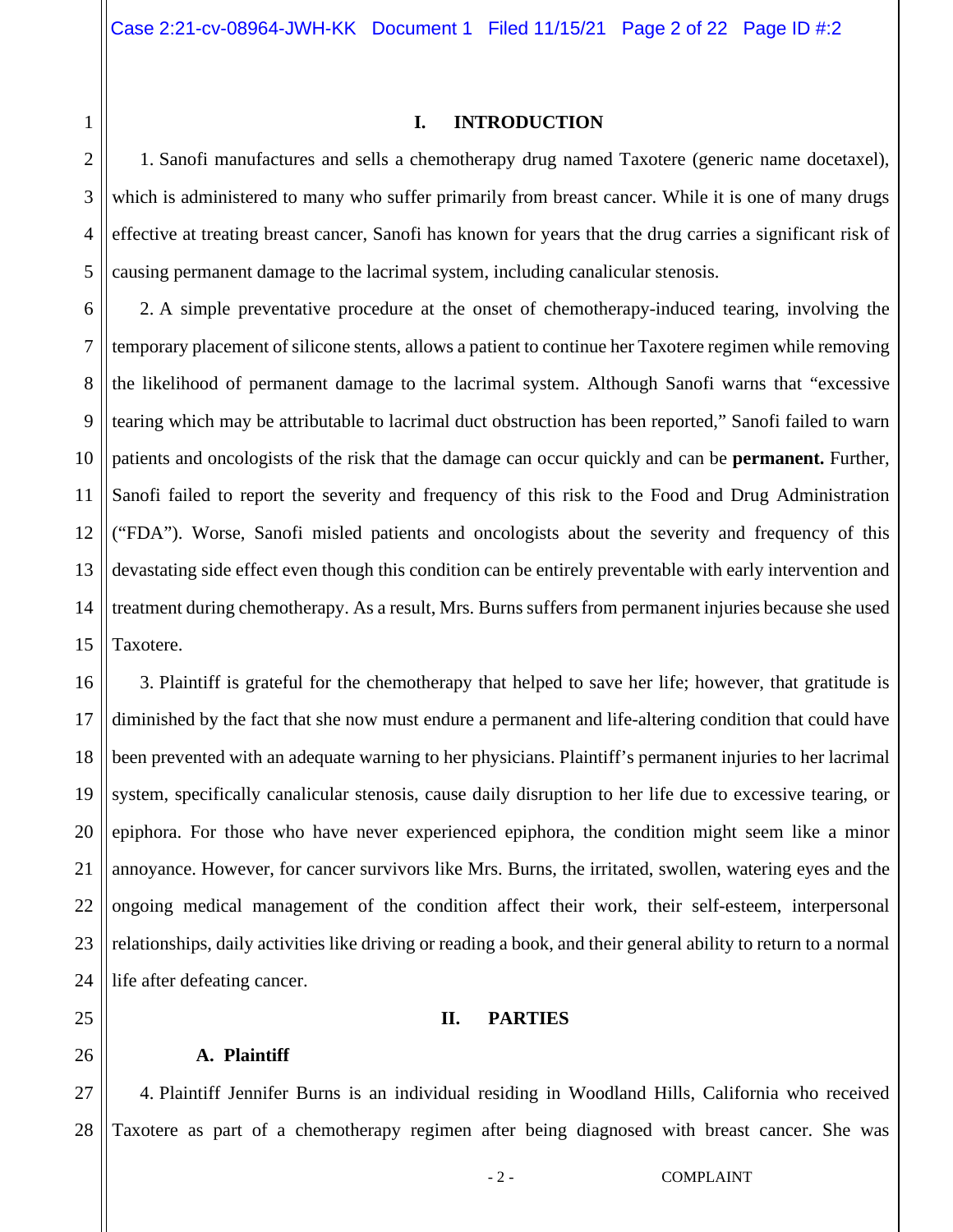**I. INTRODUCTION** 

1. Sanofi manufactures and sells a chemotherapy drug named Taxotere (generic name docetaxel), which is administered to many who suffer primarily from breast cancer. While it is one of many drugs effective at treating breast cancer, Sanofi has known for years that the drug carries a significant risk of causing permanent damage to the lacrimal system, including canalicular stenosis.

6 7 8 9 10 11 12 13 14 15 2. A simple preventative procedure at the onset of chemotherapy-induced tearing, involving the temporary placement of silicone stents, allows a patient to continue her Taxotere regimen while removing the likelihood of permanent damage to the lacrimal system. Although Sanofi warns that "excessive tearing which may be attributable to lacrimal duct obstruction has been reported," Sanofi failed to warn patients and oncologists of the risk that the damage can occur quickly and can be **permanent.** Further, Sanofi failed to report the severity and frequency of this risk to the Food and Drug Administration ("FDA"). Worse, Sanofi misled patients and oncologists about the severity and frequency of this devastating side effect even though this condition can be entirely preventable with early intervention and treatment during chemotherapy. As a result, Mrs. Burns suffers from permanent injuries because she used Taxotere.

16 17 18 19 20 21 22 23 24 3. Plaintiff is grateful for the chemotherapy that helped to save her life; however, that gratitude is diminished by the fact that she now must endure a permanent and life-altering condition that could have been prevented with an adequate warning to her physicians. Plaintiff's permanent injuries to her lacrimal system, specifically canalicular stenosis, cause daily disruption to her life due to excessive tearing, or epiphora. For those who have never experienced epiphora, the condition might seem like a minor annoyance. However, for cancer survivors like Mrs. Burns, the irritated, swollen, watering eyes and the ongoing medical management of the condition affect their work, their self-esteem, interpersonal relationships, daily activities like driving or reading a book, and their general ability to return to a normal life after defeating cancer.

### **II. PARTIES**

# **A. Plaintiff**

1

2

3

4

5

25

26

27 28 4. Plaintiff Jennifer Burns is an individual residing in Woodland Hills, California who received Taxotere as part of a chemotherapy regimen after being diagnosed with breast cancer. She was

- 2 - COMPLAINT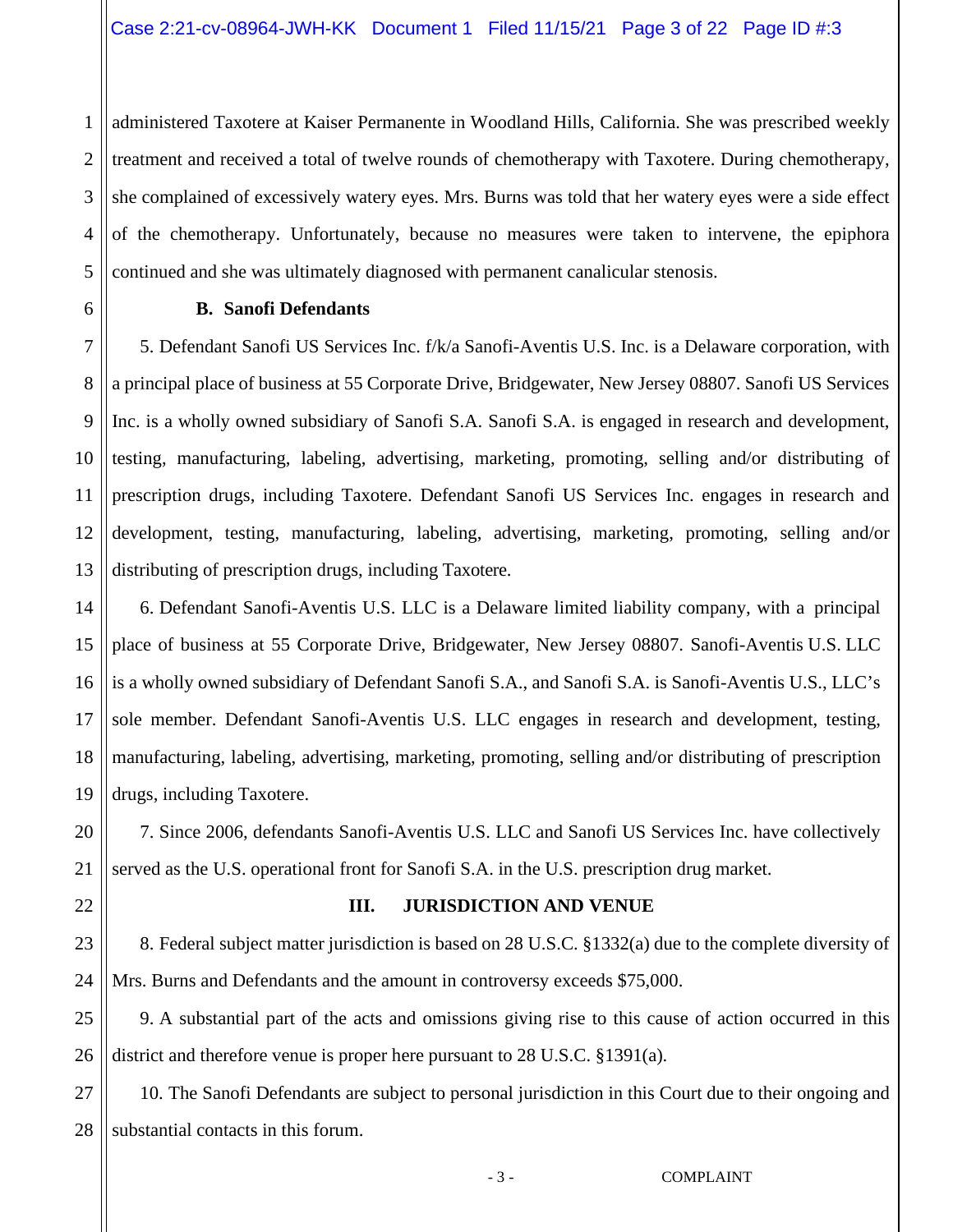1 2 3 4 5 administered Taxotere at Kaiser Permanente in Woodland Hills, California. She was prescribed weekly treatment and received a total of twelve rounds of chemotherapy with Taxotere. During chemotherapy, she complained of excessively watery eyes. Mrs. Burns was told that her watery eyes were a side effect of the chemotherapy. Unfortunately, because no measures were taken to intervene, the epiphora continued and she was ultimately diagnosed with permanent canalicular stenosis.

#### **B. Sanofi Defendants**

5. Defendant Sanofi US Services Inc. f/k/a Sanofi-Aventis U.S. Inc. is a Delaware corporation, with a principal place of business at 55 Corporate Drive, Bridgewater, New Jersey 08807. Sanofi US Services Inc. is a wholly owned subsidiary of Sanofi S.A. Sanofi S.A. is engaged in research and development, testing, manufacturing, labeling, advertising, marketing, promoting, selling and/or distributing of prescription drugs, including Taxotere. Defendant Sanofi US Services Inc. engages in research and development, testing, manufacturing, labeling, advertising, marketing, promoting, selling and/or distributing of prescription drugs, including Taxotere.

16 17 18 19 6. Defendant Sanofi-Aventis U.S. LLC is a Delaware limited liability company, with a principal place of business at 55 Corporate Drive, Bridgewater, New Jersey 08807. Sanofi-Aventis U.S. LLC is a wholly owned subsidiary of Defendant Sanofi S.A., and Sanofi S.A. is Sanofi-Aventis U.S., LLC's sole member. Defendant Sanofi-Aventis U.S. LLC engages in research and development, testing, manufacturing, labeling, advertising, marketing, promoting, selling and/or distributing of prescription drugs, including Taxotere.

20 21 7. Since 2006, defendants Sanofi-Aventis U.S. LLC and Sanofi US Services Inc. have collectively served as the U.S. operational front for Sanofi S.A. in the U.S. prescription drug market.

22

#### **III. JURISDICTION AND VENUE**

23 24 8. Federal subject matter jurisdiction is based on 28 U.S.C. §1332(a) due to the complete diversity of Mrs. Burns and Defendants and the amount in controversy exceeds \$75,000.

25 26 9. A substantial part of the acts and omissions giving rise to this cause of action occurred in this district and therefore venue is proper here pursuant to 28 U.S.C. §1391(a).

27 28 10. The Sanofi Defendants are subject to personal jurisdiction in this Court due to their ongoing and substantial contacts in this forum.

#### - 3 - COMPLAINT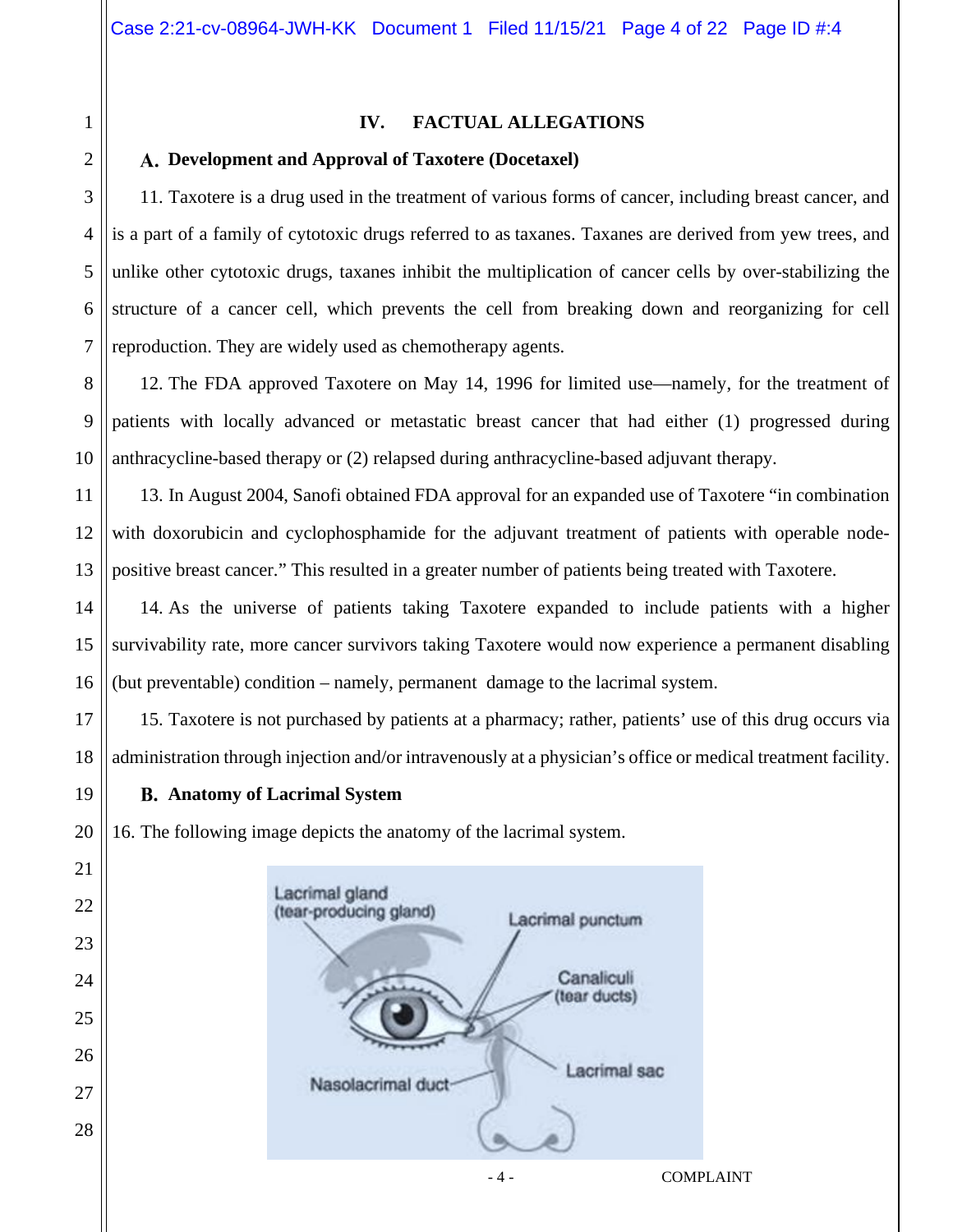# **IV. FACTUAL ALLEGATIONS**

# **Development and Approval of Taxotere (Docetaxel)**

11. Taxotere is a drug used in the treatment of various forms of cancer, including breast cancer, and is a part of a family of cytotoxic drugs referred to as taxanes. Taxanes are derived from yew trees, and unlike other cytotoxic drugs, taxanes inhibit the multiplication of cancer cells by over-stabilizing the structure of a cancer cell, which prevents the cell from breaking down and reorganizing for cell reproduction. They are widely used as chemotherapy agents.

12. The FDA approved Taxotere on May 14, 1996 for limited use—namely, for the treatment of patients with locally advanced or metastatic breast cancer that had either (1) progressed during anthracycline-based therapy or (2) relapsed during anthracycline-based adjuvant therapy.

13. In August 2004, Sanofi obtained FDA approval for an expanded use of Taxotere "in combination with doxorubicin and cyclophosphamide for the adjuvant treatment of patients with operable nodepositive breast cancer." This resulted in a greater number of patients being treated with Taxotere.

14. As the universe of patients taking Taxotere expanded to include patients with a higher survivability rate, more cancer survivors taking Taxotere would now experience a permanent disabling (but preventable) condition – namely, permanent damage to the lacrimal system.

15. Taxotere is not purchased by patients at a pharmacy; rather, patients' use of this drug occurs via administration through injection and/or intravenously at a physician's office or medical treatment facility.

**Anatomy of Lacrimal System** 

16. The following image depicts the anatomy of the lacrimal system.

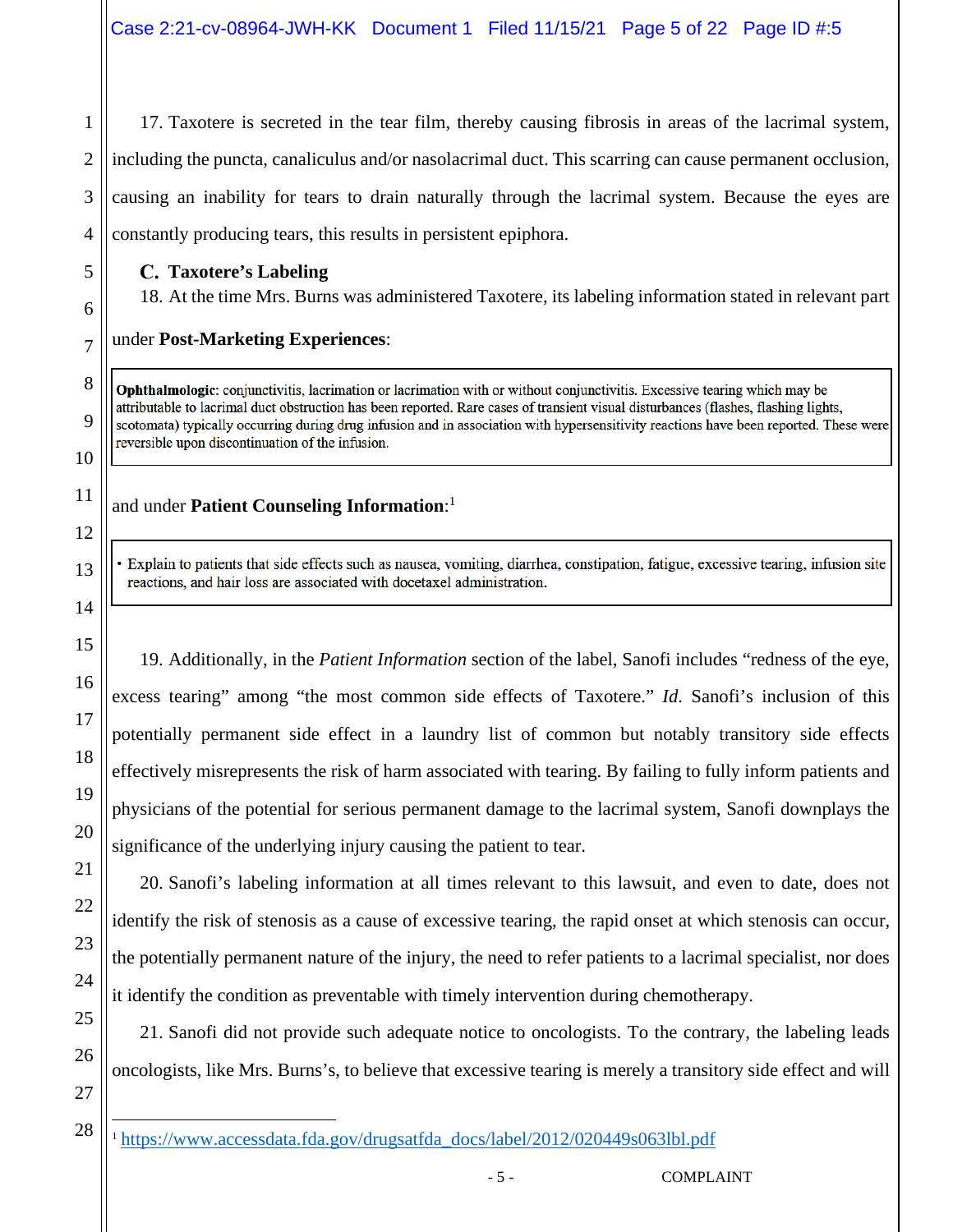17. Taxotere is secreted in the tear film, thereby causing fibrosis in areas of the lacrimal system, including the puncta, canaliculus and/or nasolacrimal duct. This scarring can cause permanent occlusion, causing an inability for tears to drain naturally through the lacrimal system. Because the eyes are constantly producing tears, this results in persistent epiphora.

# **Taxotere's Labeling**

1

2

3

4

5

6

7

8

9

10

11

12

13

14

15

16

17

18

19

20

21

22

23

24

25

26

18. At the time Mrs. Burns was administered Taxotere, its labeling information stated in relevant part

# under **Post-Marketing Experiences**:

**Ophthalmologic:** conjunctivitis, lacrimation or lacrimation with or without conjunctivitis. Excessive tearing which may be attributable to lacrimal duct obstruction has been reported. Rare cases of transient visual disturbances (flashes, flashing lights, scotomata) typically occurring during drug infusion and in association with hypersensitivity reactions have been reported. These were reversible upon discontinuation of the infusion.

# and under **Patient Counseling Information**: 1

· Explain to patients that side effects such as nausea, vomiting, diarrhea, constipation, fatigue, excessive tearing, infusion site reactions, and hair loss are associated with docetaxel administration.

19. Additionally, in the *Patient Information* section of the label, Sanofi includes "redness of the eye, excess tearing" among "the most common side effects of Taxotere." *Id*. Sanofi's inclusion of this potentially permanent side effect in a laundry list of common but notably transitory side effects effectively misrepresents the risk of harm associated with tearing. By failing to fully inform patients and physicians of the potential for serious permanent damage to the lacrimal system, Sanofi downplays the significance of the underlying injury causing the patient to tear.

20. Sanofi's labeling information at all times relevant to this lawsuit, and even to date, does not identify the risk of stenosis as a cause of excessive tearing, the rapid onset at which stenosis can occur, the potentially permanent nature of the injury, the need to refer patients to a lacrimal specialist, nor does it identify the condition as preventable with timely intervention during chemotherapy.

21. Sanofi did not provide such adequate notice to oncologists. To the contrary, the labeling leads oncologists, like Mrs. Burns's, to believe that excessive tearing is merely a transitory side effect and will

<sup>&</sup>lt;sup>1</sup> https://www.accessdata.fda.gov/drugsatfda\_docs/label/2012/020449s063lbl.pdf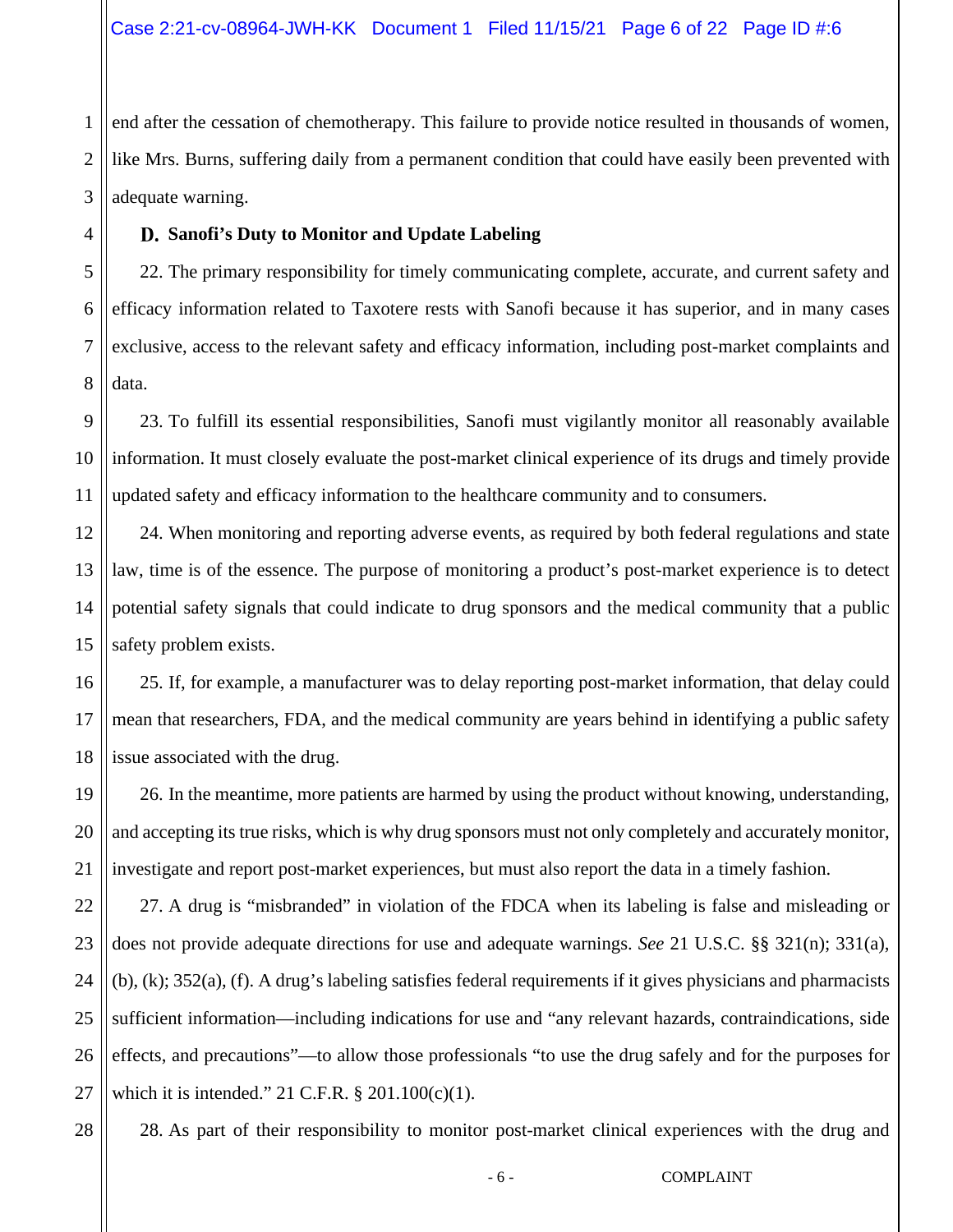2 3 end after the cessation of chemotherapy. This failure to provide notice resulted in thousands of women, like Mrs. Burns, suffering daily from a permanent condition that could have easily been prevented with adequate warning.

# **Sanofi's Duty to Monitor and Update Labeling**

1

4

7

28

5 6 8 22. The primary responsibility for timely communicating complete, accurate, and current safety and efficacy information related to Taxotere rests with Sanofi because it has superior, and in many cases exclusive, access to the relevant safety and efficacy information, including post-market complaints and data.

9 10 11 23. To fulfill its essential responsibilities, Sanofi must vigilantly monitor all reasonably available information. It must closely evaluate the post-market clinical experience of its drugs and timely provide updated safety and efficacy information to the healthcare community and to consumers.

12 13 14 15 24. When monitoring and reporting adverse events, as required by both federal regulations and state law, time is of the essence. The purpose of monitoring a product's post-market experience is to detect potential safety signals that could indicate to drug sponsors and the medical community that a public safety problem exists.

16 17 18 25. If, for example, a manufacturer was to delay reporting post-market information, that delay could mean that researchers, FDA, and the medical community are years behind in identifying a public safety issue associated with the drug.

19 20 21 26. In the meantime, more patients are harmed by using the product without knowing, understanding, and accepting its true risks, which is why drug sponsors must not only completely and accurately monitor, investigate and report post-market experiences, but must also report the data in a timely fashion.

22 23 24 25 26 27 27. A drug is "misbranded" in violation of the FDCA when its labeling is false and misleading or does not provide adequate directions for use and adequate warnings. *See* 21 U.S.C. §§ 321(n); 331(a), (b), (k); 352(a), (f). A drug's labeling satisfies federal requirements if it gives physicians and pharmacists sufficient information—including indications for use and "any relevant hazards, contraindications, side effects, and precautions"—to allow those professionals "to use the drug safely and for the purposes for which it is intended." 21 C.F.R. § 201.100(c)(1).

28. As part of their responsibility to monitor post-market clinical experiences with the drug and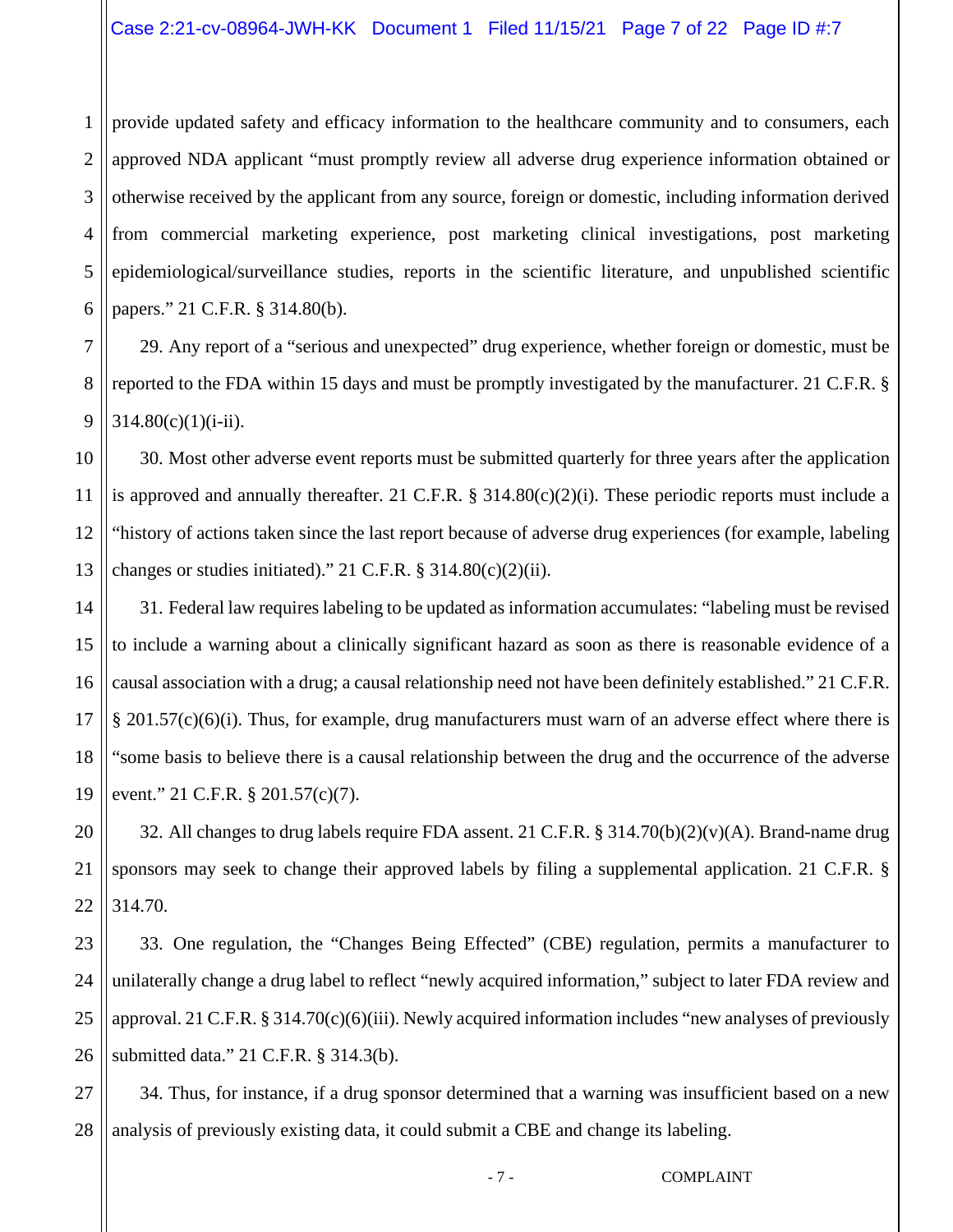1 2 3 4 5 6 provide updated safety and efficacy information to the healthcare community and to consumers, each approved NDA applicant "must promptly review all adverse drug experience information obtained or otherwise received by the applicant from any source, foreign or domestic, including information derived from commercial marketing experience, post marketing clinical investigations, post marketing epidemiological/surveillance studies, reports in the scientific literature, and unpublished scientific papers." 21 C.F.R. § 314.80(b).

7 8 9 29. Any report of a "serious and unexpected" drug experience, whether foreign or domestic, must be reported to the FDA within 15 days and must be promptly investigated by the manufacturer. 21 C.F.R. §  $314.80(c)(1)(i-ii)$ .

10 11 12 13 30. Most other adverse event reports must be submitted quarterly for three years after the application is approved and annually thereafter. 21 C.F.R. § 314.80(c)(2)(i). These periodic reports must include a "history of actions taken since the last report because of adverse drug experiences (for example, labeling changes or studies initiated)." 21 C.F.R.  $\S$  314.80(c)(2)(ii).

14 15 16 17 18 19 31. Federal law requires labeling to be updated as information accumulates: "labeling must be revised to include a warning about a clinically significant hazard as soon as there is reasonable evidence of a causal association with a drug; a causal relationship need not have been definitely established." 21 C.F.R. § 201.57(c)(6)(i). Thus, for example, drug manufacturers must warn of an adverse effect where there is "some basis to believe there is a causal relationship between the drug and the occurrence of the adverse event." 21 C.F.R. § 201.57(c)(7).

20 21 22 32. All changes to drug labels require FDA assent. 21 C.F.R. § 314.70(b)(2)(v)(A). Brand-name drug sponsors may seek to change their approved labels by filing a supplemental application. 21 C.F.R. § 314.70.

23 24 25 26 33. One regulation, the "Changes Being Effected" (CBE) regulation, permits a manufacturer to unilaterally change a drug label to reflect "newly acquired information," subject to later FDA review and approval. 21 C.F.R. § 314.70(c)(6)(iii). Newly acquired information includes "new analyses of previously submitted data." 21 C.F.R. § 314.3(b).

27 28 34. Thus, for instance, if a drug sponsor determined that a warning was insufficient based on a new analysis of previously existing data, it could submit a CBE and change its labeling.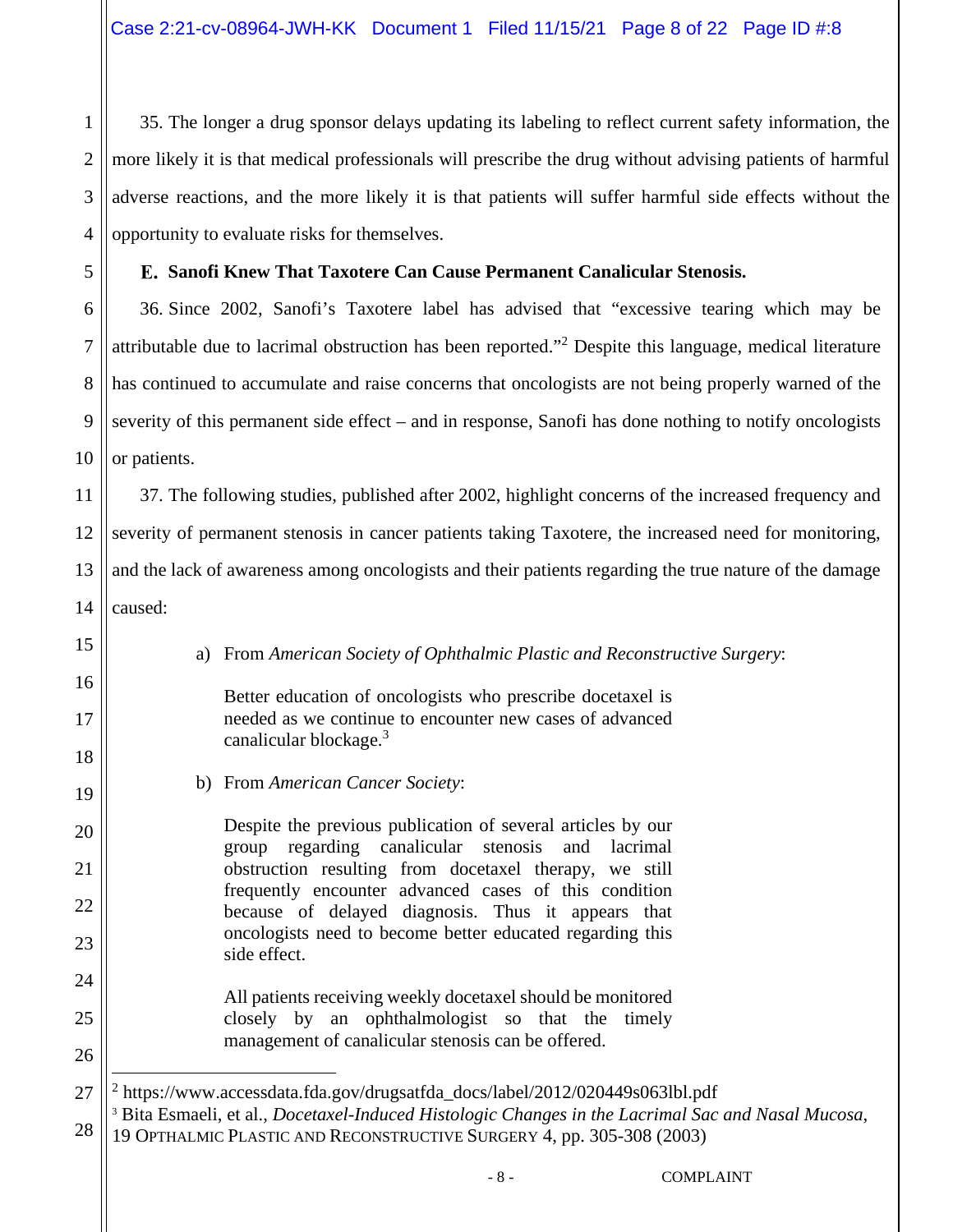35. The longer a drug sponsor delays updating its labeling to reflect current safety information, the more likely it is that medical professionals will prescribe the drug without advising patients of harmful adverse reactions, and the more likely it is that patients will suffer harmful side effects without the opportunity to evaluate risks for themselves.

# **Sanofi Knew That Taxotere Can Cause Permanent Canalicular Stenosis.**

6 8 10 36. Since 2002, Sanofi's Taxotere label has advised that "excessive tearing which may be attributable due to lacrimal obstruction has been reported."<sup>2</sup> Despite this language, medical literature has continued to accumulate and raise concerns that oncologists are not being properly warned of the severity of this permanent side effect – and in response, Sanofi has done nothing to notify oncologists or patients.

11 12 13 37. The following studies, published after 2002, highlight concerns of the increased frequency and severity of permanent stenosis in cancer patients taking Taxotere, the increased need for monitoring, and the lack of awareness among oncologists and their patients regarding the true nature of the damage caused:

14

15

16

17

18

19

20

21

22

23

24

25

26

1

2

3

4

5

7

9

a) From *American Society of Ophthalmic Plastic and Reconstructive Surgery*:

Better education of oncologists who prescribe docetaxel is needed as we continue to encounter new cases of advanced canalicular blockage.<sup>3</sup>

b) From *American Cancer Society*:

Despite the previous publication of several articles by our group regarding canalicular stenosis and lacrimal obstruction resulting from docetaxel therapy, we still frequently encounter advanced cases of this condition because of delayed diagnosis. Thus it appears that oncologists need to become better educated regarding this side effect.

All patients receiving weekly docetaxel should be monitored closely by an ophthalmologist so that the timely management of canalicular stenosis can be offered.

27 <sup>2</sup> https://www.accessdata.fda.gov/drugsatfda\_docs/label/2012/020449s063lbl.pdf 3 Bita Esmaeli, et al., *Docetaxel-Induced Histologic Changes in the Lacrimal Sac and Nasal Mucosa*,

28 19 OPTHALMIC PLASTIC AND RECONSTRUCTIVE SURGERY 4, pp. 305-308 (2003)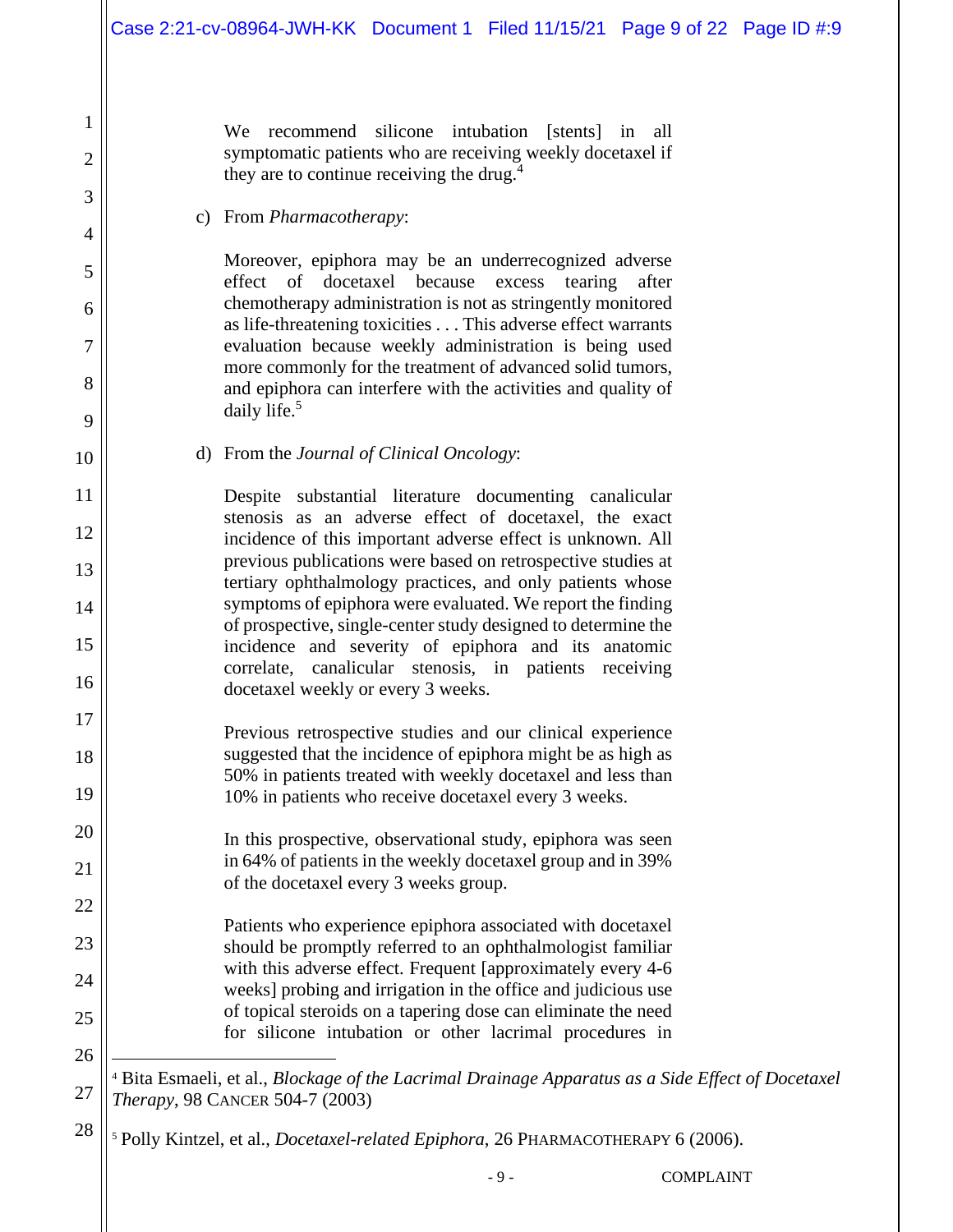We recommend silicone intubation [stents] in all symptomatic patients who are receiving weekly docetaxel if they are to continue receiving the drug.<sup>4</sup>

#### c) From *Pharmacotherapy*:

1

2

3

4

5

6

7

8

9

10

11

12

13

14

15

16

17

18

19

20

21

22

23

24

25

26

27

28

Moreover, epiphora may be an underrecognized adverse effect of docetaxel because excess tearing after chemotherapy administration is not as stringently monitored as life-threatening toxicities . . . This adverse effect warrants evaluation because weekly administration is being used more commonly for the treatment of advanced solid tumors, and epiphora can interfere with the activities and quality of daily life.<sup>5</sup>

d) From the *Journal of Clinical Oncology*:

Despite substantial literature documenting canalicular stenosis as an adverse effect of docetaxel, the exact incidence of this important adverse effect is unknown. All previous publications were based on retrospective studies at tertiary ophthalmology practices, and only patients whose symptoms of epiphora were evaluated. We report the finding of prospective, single-center study designed to determine the incidence and severity of epiphora and its anatomic correlate, canalicular stenosis, in patients receiving docetaxel weekly or every 3 weeks.

- Previous retrospective studies and our clinical experience suggested that the incidence of epiphora might be as high as 50% in patients treated with weekly docetaxel and less than 10% in patients who receive docetaxel every 3 weeks.
	- In this prospective, observational study, epiphora was seen in 64% of patients in the weekly docetaxel group and in 39% of the docetaxel every 3 weeks group.

Patients who experience epiphora associated with docetaxel should be promptly referred to an ophthalmologist familiar with this adverse effect. Frequent [approximately every 4-6 weeks] probing and irrigation in the office and judicious use of topical steroids on a tapering dose can eliminate the need for silicone intubation or other lacrimal procedures in

4 Bita Esmaeli, et al., *Blockage of the Lacrimal Drainage Apparatus as a Side Effect of Docetaxel Therapy*, 98 CANCER 504-7 (2003)

<sup>5</sup> Polly Kintzel, et al., *Docetaxel-related Epiphora*, 26 PHARMACOTHERAPY 6 (2006).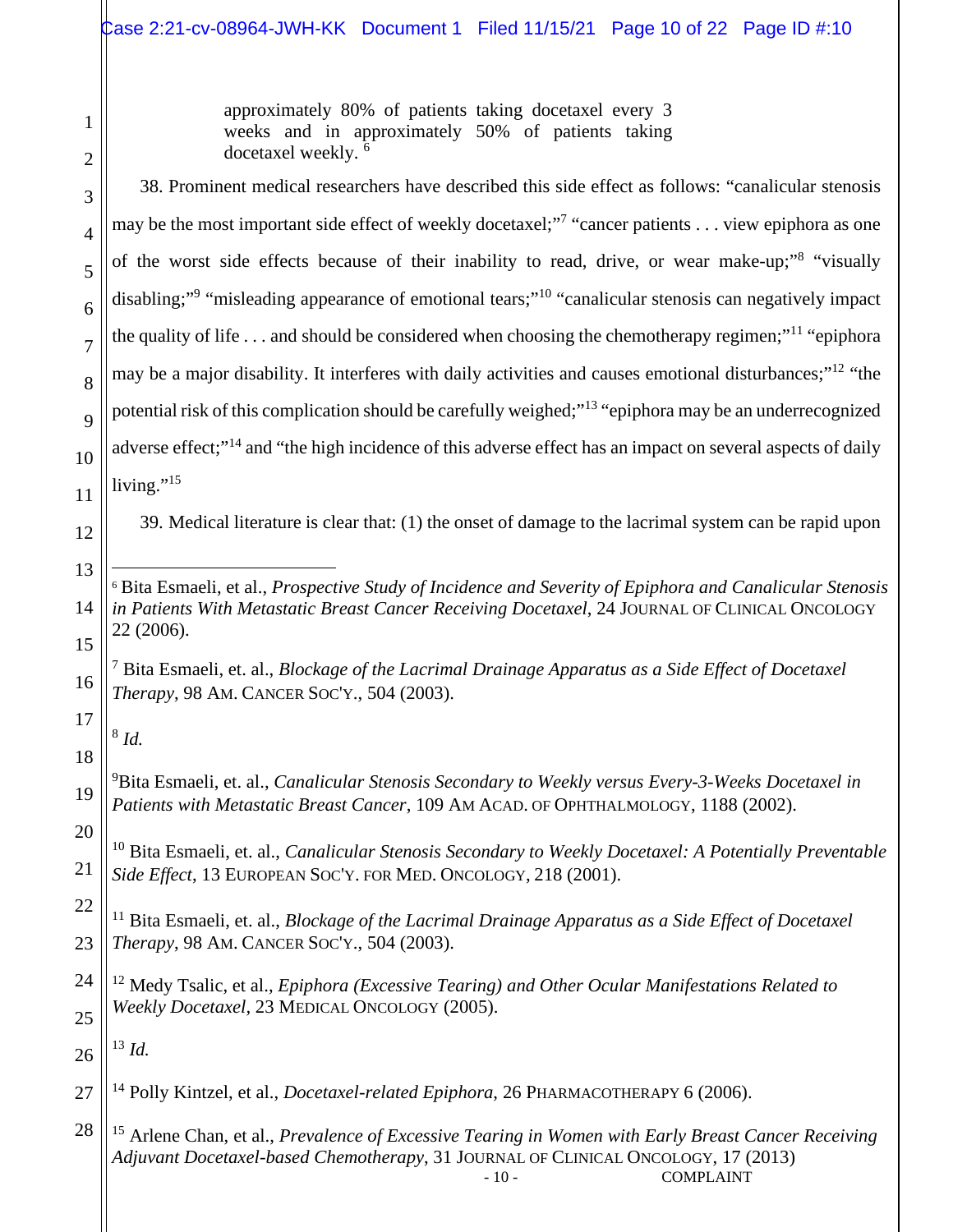approximately 80% of patients taking docetaxel every 3 weeks and in approximately 50% of patients taking docetaxel weekly. <sup>6</sup>

38. Prominent medical researchers have described this side effect as follows: "canalicular stenosis may be the most important side effect of weekly docetaxel;<sup>"7</sup> "cancer patients . . . view epiphora as one of the worst side effects because of their inability to read, drive, or wear make-up;"<sup>8</sup> "visually disabling;"<sup>9</sup> "misleading appearance of emotional tears;"<sup>10</sup> "canalicular stenosis can negatively impact the quality of life  $\ldots$  and should be considered when choosing the chemotherapy regimen;"<sup>11</sup> "epiphora" may be a major disability. It interferes with daily activities and causes emotional disturbances;"<sup>12</sup> "the potential risk of this complication should be carefully weighed;"<sup>13</sup> "epiphora may be an underrecognized adverse effect;"<sup>14</sup> and "the high incidence of this adverse effect has an impact on several aspects of daily living." $^{15}$ 

39. Medical literature is clear that: (1) the onset of damage to the lacrimal system can be rapid upon

- <sup>6</sup> Bita Esmaeli, et al., *Prospective Study of Incidence and Severity of Epiphora and Canalicular Stenosis in Patients With Metastatic Breast Cancer Receiving Docetaxel*, 24 JOURNAL OF CLINICAL ONCOLOGY 22 (2006).
	- 7 Bita Esmaeli, et. al., *Blockage of the Lacrimal Drainage Apparatus as a Side Effect of Docetaxel Therapy*, 98 AM. CANCER SOC'Y., 504 (2003).

8 *Id.* 

<sup>9</sup>Bita Esmaeli, et. al., *Canalicular Stenosis Secondary to Weekly versus Every-3-Weeks Docetaxel in Patients with Metastatic Breast Cancer*, 109 AM ACAD. OF OPHTHALMOLOGY, 1188 (2002).

<sup>10</sup> Bita Esmaeli, et. al., *Canalicular Stenosis Secondary to Weekly Docetaxel: A Potentially Preventable Side Effect*, 13 EUROPEAN SOC'Y. FOR MED. ONCOLOGY, 218 (2001).

22 23 <sup>11</sup> Bita Esmaeli, et. al., *Blockage of the Lacrimal Drainage Apparatus as a Side Effect of Docetaxel Therapy*, 98 AM. CANCER SOC'Y., 504 (2003).

24 25 <sup>12</sup> Medy Tsalic, et al., *Epiphora (Excessive Tearing) and Other Ocular Manifestations Related to Weekly Docetaxel,* 23 MEDICAL ONCOLOGY (2005).

26 <sup>13</sup> *Id.* 

27 <sup>14</sup> Polly Kintzel, et al., *Docetaxel-related Epiphora*, 26 PHARMACOTHERAPY 6 (2006).

28 - 10 - COMPLAINT <sup>15</sup> Arlene Chan, et al., *Prevalence of Excessive Tearing in Women with Early Breast Cancer Receiving Adjuvant Docetaxel-based Chemotherapy*, 31 JOURNAL OF CLINICAL ONCOLOGY, 17 (2013)

1

2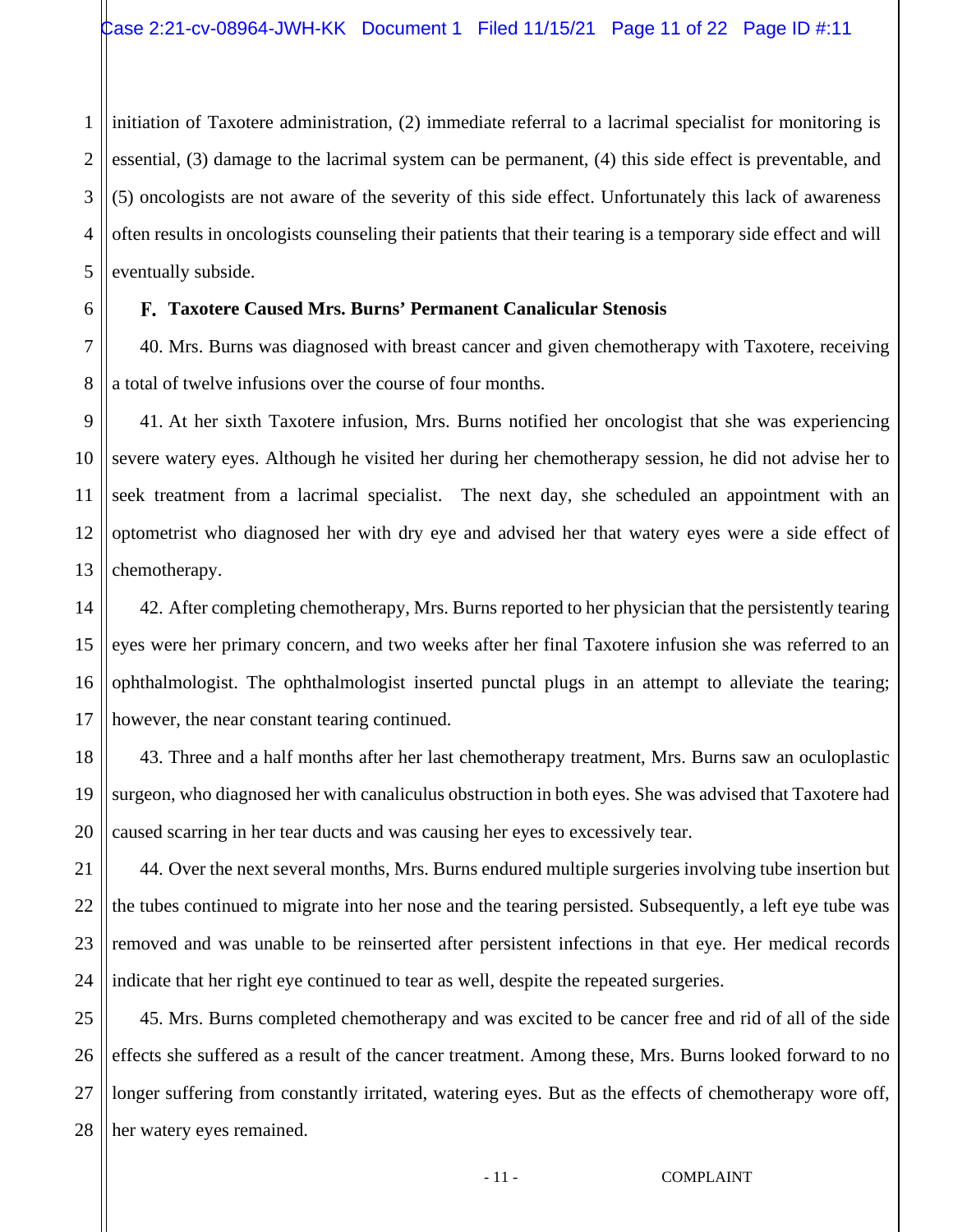1 2 3 4 5 initiation of Taxotere administration, (2) immediate referral to a lacrimal specialist for monitoring is essential, (3) damage to the lacrimal system can be permanent, (4) this side effect is preventable, and (5) oncologists are not aware of the severity of this side effect. Unfortunately this lack of awareness often results in oncologists counseling their patients that their tearing is a temporary side effect and will eventually subside.

# **Taxotere Caused Mrs. Burns' Permanent Canalicular Stenosis**

6

7

8

40. Mrs. Burns was diagnosed with breast cancer and given chemotherapy with Taxotere, receiving a total of twelve infusions over the course of four months.

9 10 11 12 13 41. At her sixth Taxotere infusion, Mrs. Burns notified her oncologist that she was experiencing severe watery eyes. Although he visited her during her chemotherapy session, he did not advise her to seek treatment from a lacrimal specialist. The next day, she scheduled an appointment with an optometrist who diagnosed her with dry eye and advised her that watery eyes were a side effect of chemotherapy.

14 15 16 17 42. After completing chemotherapy, Mrs. Burns reported to her physician that the persistently tearing eyes were her primary concern, and two weeks after her final Taxotere infusion she was referred to an ophthalmologist. The ophthalmologist inserted punctal plugs in an attempt to alleviate the tearing; however, the near constant tearing continued.

18 19 20 43. Three and a half months after her last chemotherapy treatment, Mrs. Burns saw an oculoplastic surgeon, who diagnosed her with canaliculus obstruction in both eyes. She was advised that Taxotere had caused scarring in her tear ducts and was causing her eyes to excessively tear.

21 22 23 24 44. Over the next several months, Mrs. Burns endured multiple surgeries involving tube insertion but the tubes continued to migrate into her nose and the tearing persisted. Subsequently, a left eye tube was removed and was unable to be reinserted after persistent infections in that eye. Her medical records indicate that her right eye continued to tear as well, despite the repeated surgeries.

25 26 27 28 45. Mrs. Burns completed chemotherapy and was excited to be cancer free and rid of all of the side effects she suffered as a result of the cancer treatment. Among these, Mrs. Burns looked forward to no longer suffering from constantly irritated, watering eyes. But as the effects of chemotherapy wore off, her watery eyes remained.

- 11 - COMPLAINT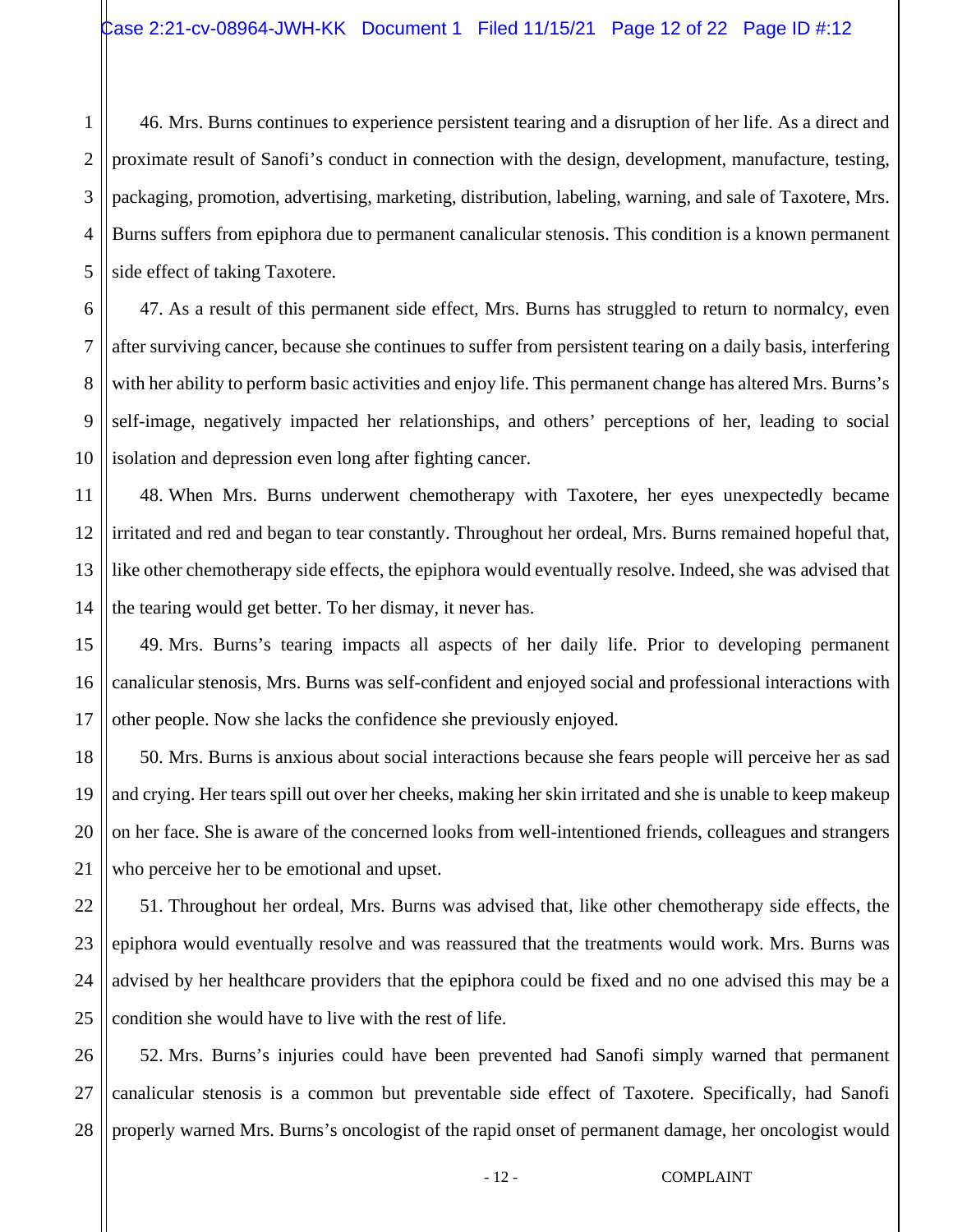1 2 3 4 5 46. Mrs. Burns continues to experience persistent tearing and a disruption of her life. As a direct and proximate result of Sanofi's conduct in connection with the design, development, manufacture, testing, packaging, promotion, advertising, marketing, distribution, labeling, warning, and sale of Taxotere, Mrs. Burns suffers from epiphora due to permanent canalicular stenosis. This condition is a known permanent side effect of taking Taxotere.

6 7 8 47. As a result of this permanent side effect, Mrs. Burns has struggled to return to normalcy, even after surviving cancer, because she continues to suffer from persistent tearing on a daily basis, interfering with her ability to perform basic activities and enjoy life. This permanent change has altered Mrs. Burns's self-image, negatively impacted her relationships, and others' perceptions of her, leading to social isolation and depression even long after fighting cancer.

48. When Mrs. Burns underwent chemotherapy with Taxotere, her eyes unexpectedly became irritated and red and began to tear constantly. Throughout her ordeal, Mrs. Burns remained hopeful that, like other chemotherapy side effects, the epiphora would eventually resolve. Indeed, she was advised that the tearing would get better. To her dismay, it never has.

49. Mrs. Burns's tearing impacts all aspects of her daily life. Prior to developing permanent canalicular stenosis, Mrs. Burns was self-confident and enjoyed social and professional interactions with other people. Now she lacks the confidence she previously enjoyed.

50. Mrs. Burns is anxious about social interactions because she fears people will perceive her as sad and crying. Her tears spill out over her cheeks, making her skin irritated and she is unable to keep makeup on her face. She is aware of the concerned looks from well-intentioned friends, colleagues and strangers who perceive her to be emotional and upset.

51. Throughout her ordeal, Mrs. Burns was advised that, like other chemotherapy side effects, the epiphora would eventually resolve and was reassured that the treatments would work. Mrs. Burns was advised by her healthcare providers that the epiphora could be fixed and no one advised this may be a condition she would have to live with the rest of life.

52. Mrs. Burns's injuries could have been prevented had Sanofi simply warned that permanent canalicular stenosis is a common but preventable side effect of Taxotere. Specifically, had Sanofi properly warned Mrs. Burns's oncologist of the rapid onset of permanent damage, her oncologist would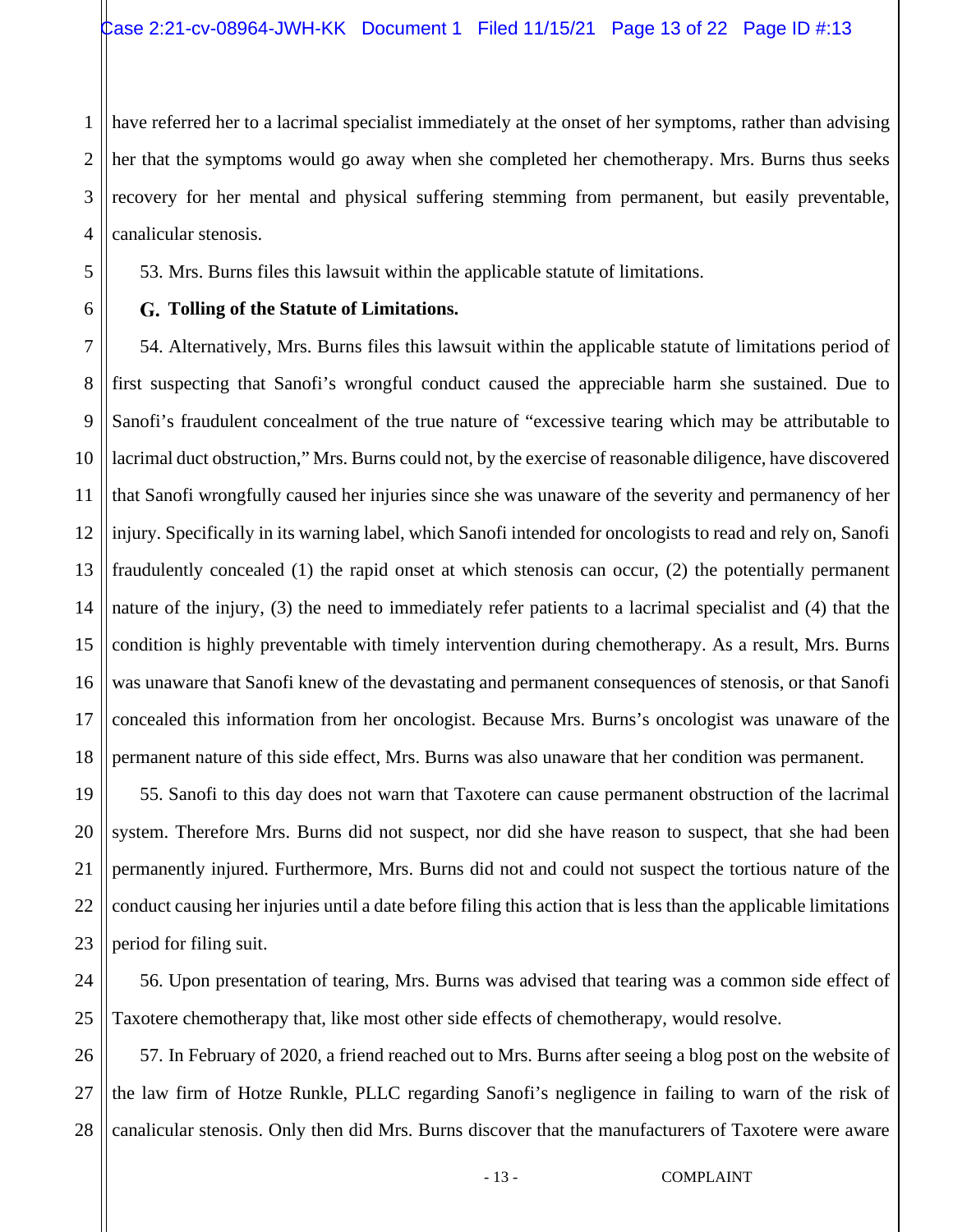3 have referred her to a lacrimal specialist immediately at the onset of her symptoms, rather than advising her that the symptoms would go away when she completed her chemotherapy. Mrs. Burns thus seeks recovery for her mental and physical suffering stemming from permanent, but easily preventable, canalicular stenosis.

53. Mrs. Burns files this lawsuit within the applicable statute of limitations.

# **Tolling of the Statute of Limitations.**

54. Alternatively, Mrs. Burns files this lawsuit within the applicable statute of limitations period of first suspecting that Sanofi's wrongful conduct caused the appreciable harm she sustained. Due to Sanofi's fraudulent concealment of the true nature of "excessive tearing which may be attributable to lacrimal duct obstruction," Mrs. Burns could not, by the exercise of reasonable diligence, have discovered that Sanofi wrongfully caused her injuries since she was unaware of the severity and permanency of her injury. Specifically in its warning label, which Sanofi intended for oncologists to read and rely on, Sanofi fraudulently concealed (1) the rapid onset at which stenosis can occur, (2) the potentially permanent nature of the injury, (3) the need to immediately refer patients to a lacrimal specialist and (4) that the condition is highly preventable with timely intervention during chemotherapy. As a result, Mrs. Burns was unaware that Sanofi knew of the devastating and permanent consequences of stenosis, or that Sanofi concealed this information from her oncologist. Because Mrs. Burns's oncologist was unaware of the permanent nature of this side effect, Mrs. Burns was also unaware that her condition was permanent.

55. Sanofi to this day does not warn that Taxotere can cause permanent obstruction of the lacrimal system. Therefore Mrs. Burns did not suspect, nor did she have reason to suspect, that she had been permanently injured. Furthermore, Mrs. Burns did not and could not suspect the tortious nature of the conduct causing her injuries until a date before filing this action that is less than the applicable limitations period for filing suit.

56. Upon presentation of tearing, Mrs. Burns was advised that tearing was a common side effect of Taxotere chemotherapy that, like most other side effects of chemotherapy, would resolve.

28 57. In February of 2020, a friend reached out to Mrs. Burns after seeing a blog post on the website of the law firm of Hotze Runkle, PLLC regarding Sanofi's negligence in failing to warn of the risk of canalicular stenosis. Only then did Mrs. Burns discover that the manufacturers of Taxotere were aware

1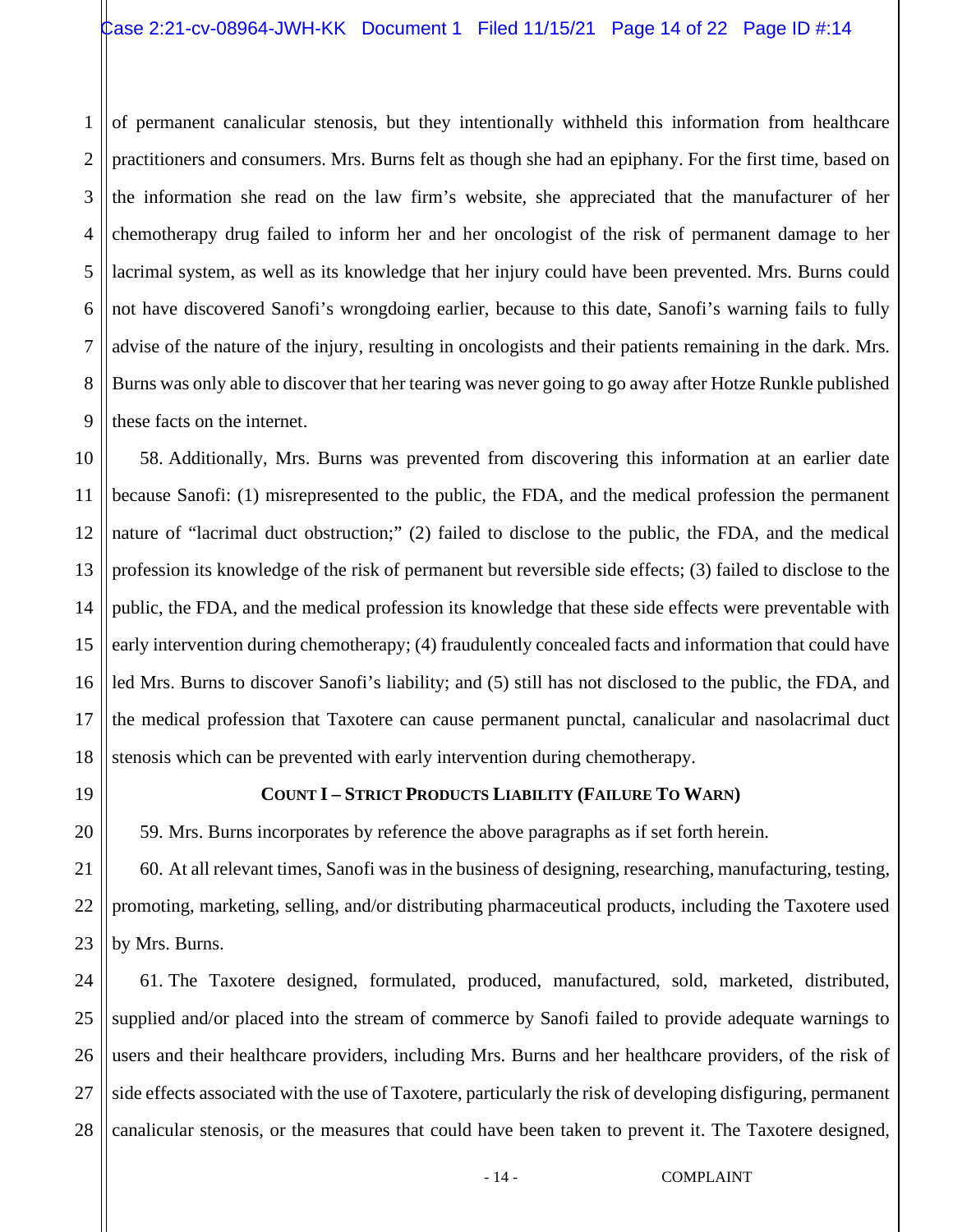1 2 3 4 5 6 7 8 9 of permanent canalicular stenosis, but they intentionally withheld this information from healthcare practitioners and consumers. Mrs. Burns felt as though she had an epiphany. For the first time, based on the information she read on the law firm's website, she appreciated that the manufacturer of her chemotherapy drug failed to inform her and her oncologist of the risk of permanent damage to her lacrimal system, as well as its knowledge that her injury could have been prevented. Mrs. Burns could not have discovered Sanofi's wrongdoing earlier, because to this date, Sanofi's warning fails to fully advise of the nature of the injury, resulting in oncologists and their patients remaining in the dark. Mrs. Burns was only able to discover that her tearing was never going to go away after Hotze Runkle published these facts on the internet.

10 11 12 13 14 15 16 17 18 58. Additionally, Mrs. Burns was prevented from discovering this information at an earlier date because Sanofi: (1) misrepresented to the public, the FDA, and the medical profession the permanent nature of "lacrimal duct obstruction;" (2) failed to disclose to the public, the FDA, and the medical profession its knowledge of the risk of permanent but reversible side effects; (3) failed to disclose to the public, the FDA, and the medical profession its knowledge that these side effects were preventable with early intervention during chemotherapy; (4) fraudulently concealed facts and information that could have led Mrs. Burns to discover Sanofi's liability; and (5) still has not disclosed to the public, the FDA, and the medical profession that Taxotere can cause permanent punctal, canalicular and nasolacrimal duct stenosis which can be prevented with early intervention during chemotherapy.

### **COUNT I – STRICT PRODUCTS LIABILITY (FAILURE TO WARN)**

59. Mrs. Burns incorporates by reference the above paragraphs as if set forth herein.

60. At all relevant times, Sanofi was in the business of designing, researching, manufacturing, testing, promoting, marketing, selling, and/or distributing pharmaceutical products, including the Taxotere used by Mrs. Burns.

25 26 27 28 61. The Taxotere designed, formulated, produced, manufactured, sold, marketed, distributed, supplied and/or placed into the stream of commerce by Sanofi failed to provide adequate warnings to users and their healthcare providers, including Mrs. Burns and her healthcare providers, of the risk of side effects associated with the use of Taxotere, particularly the risk of developing disfiguring, permanent canalicular stenosis, or the measures that could have been taken to prevent it. The Taxotere designed,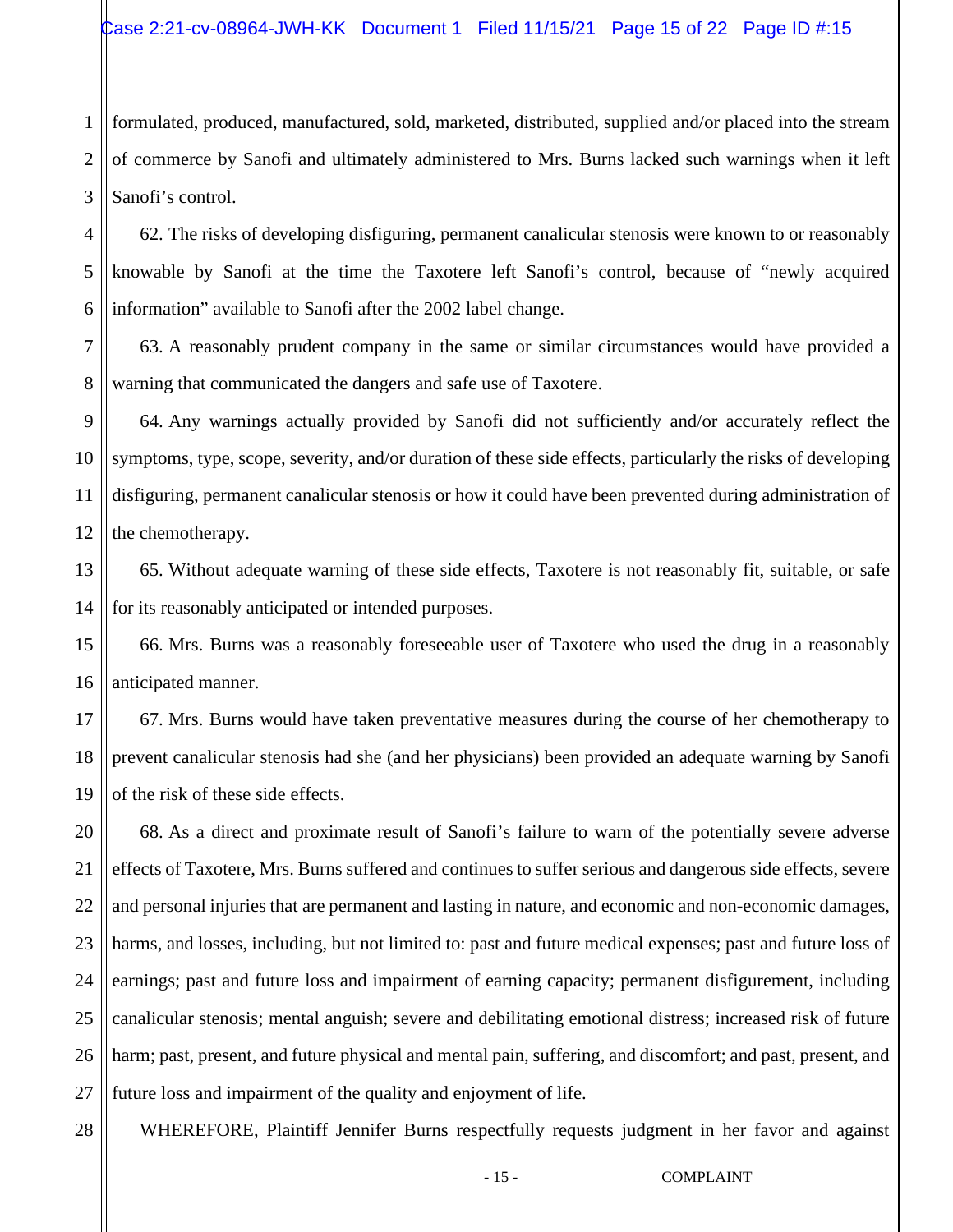1 2 3 formulated, produced, manufactured, sold, marketed, distributed, supplied and/or placed into the stream of commerce by Sanofi and ultimately administered to Mrs. Burns lacked such warnings when it left Sanofi's control.

4 5 6 62. The risks of developing disfiguring, permanent canalicular stenosis were known to or reasonably knowable by Sanofi at the time the Taxotere left Sanofi's control, because of "newly acquired information" available to Sanofi after the 2002 label change.

7 8 63. A reasonably prudent company in the same or similar circumstances would have provided a warning that communicated the dangers and safe use of Taxotere.

9 10 11 12 64. Any warnings actually provided by Sanofi did not sufficiently and/or accurately reflect the symptoms, type, scope, severity, and/or duration of these side effects, particularly the risks of developing disfiguring, permanent canalicular stenosis or how it could have been prevented during administration of the chemotherapy.

13 14 65. Without adequate warning of these side effects, Taxotere is not reasonably fit, suitable, or safe for its reasonably anticipated or intended purposes.

66. Mrs. Burns was a reasonably foreseeable user of Taxotere who used the drug in a reasonably anticipated manner.

17 18 19 67. Mrs. Burns would have taken preventative measures during the course of her chemotherapy to prevent canalicular stenosis had she (and her physicians) been provided an adequate warning by Sanofi of the risk of these side effects.

20 21 22 23 24 25 26 27 68. As a direct and proximate result of Sanofi's failure to warn of the potentially severe adverse effects of Taxotere, Mrs. Burns suffered and continues to suffer serious and dangerous side effects, severe and personal injuries that are permanent and lasting in nature, and economic and non-economic damages, harms, and losses, including, but not limited to: past and future medical expenses; past and future loss of earnings; past and future loss and impairment of earning capacity; permanent disfigurement, including canalicular stenosis; mental anguish; severe and debilitating emotional distress; increased risk of future harm; past, present, and future physical and mental pain, suffering, and discomfort; and past, present, and future loss and impairment of the quality and enjoyment of life.

28

15

16

WHEREFORE, Plaintiff Jennifer Burns respectfully requests judgment in her favor and against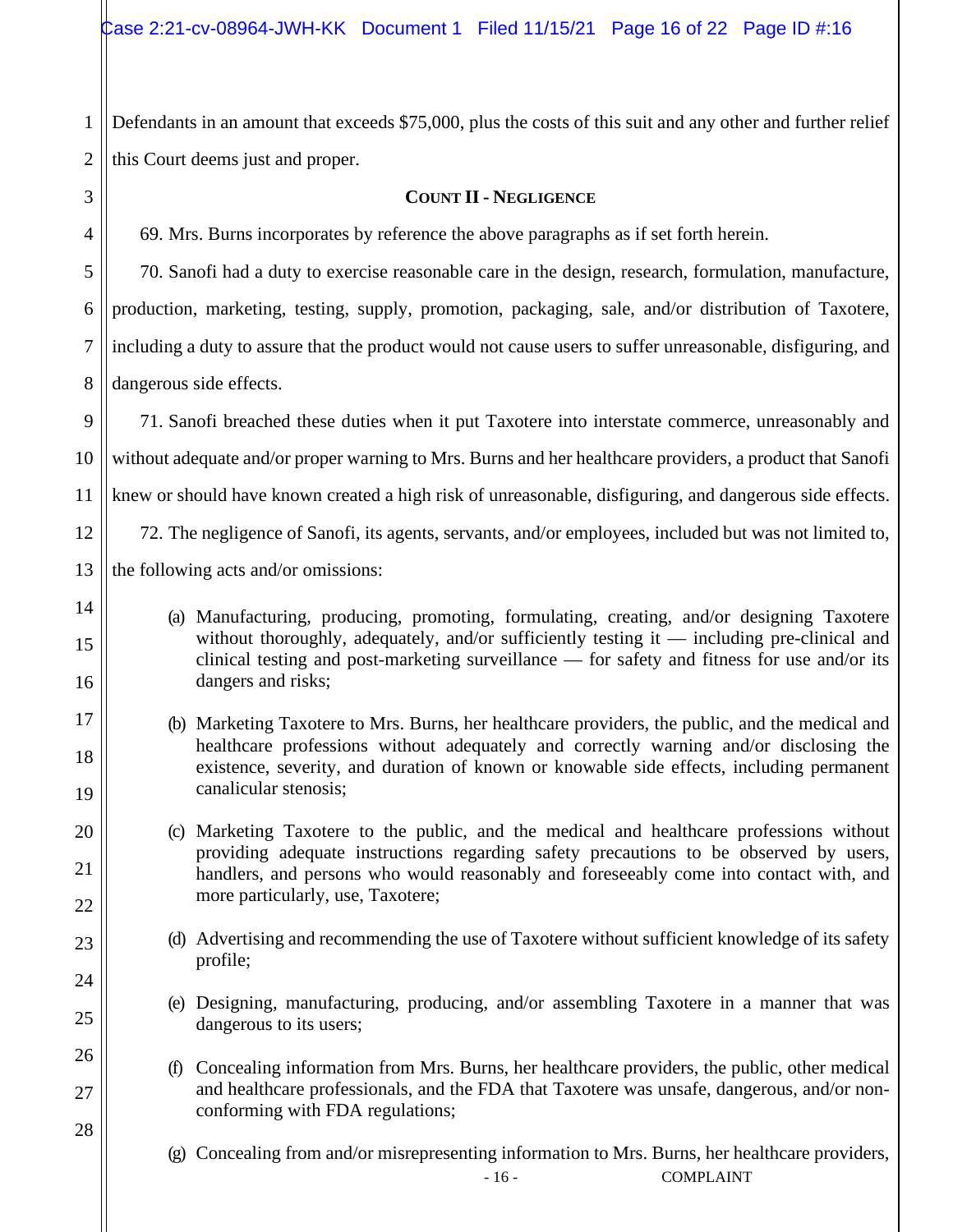1 2 Defendants in an amount that exceeds \$75,000, plus the costs of this suit and any other and further relief this Court deems just and proper.

### **COUNT II - NEGLIGENCE**

69. Mrs. Burns incorporates by reference the above paragraphs as if set forth herein.

70. Sanofi had a duty to exercise reasonable care in the design, research, formulation, manufacture, production, marketing, testing, supply, promotion, packaging, sale, and/or distribution of Taxotere, including a duty to assure that the product would not cause users to suffer unreasonable, disfiguring, and dangerous side effects.

9 10 11 12 13 71. Sanofi breached these duties when it put Taxotere into interstate commerce, unreasonably and without adequate and/or proper warning to Mrs. Burns and her healthcare providers, a product that Sanofi knew or should have known created a high risk of unreasonable, disfiguring, and dangerous side effects. 72. The negligence of Sanofi, its agents, servants, and/or employees, included but was not limited to, the following acts and/or omissions:

14

3

4

5

6

7

8

15

16

17

18

19

20

21

22

23

24

25

26

27

28

- (a) Manufacturing, producing, promoting, formulating, creating, and/or designing Taxotere without thoroughly, adequately, and/or sufficiently testing it — including pre-clinical and clinical testing and post-marketing surveillance — for safety and fitness for use and/or its dangers and risks;
- (b) Marketing Taxotere to Mrs. Burns, her healthcare providers, the public, and the medical and healthcare professions without adequately and correctly warning and/or disclosing the existence, severity, and duration of known or knowable side effects, including permanent canalicular stenosis;

(c) Marketing Taxotere to the public, and the medical and healthcare professions without providing adequate instructions regarding safety precautions to be observed by users, handlers, and persons who would reasonably and foreseeably come into contact with, and more particularly, use, Taxotere;

- (d) Advertising and recommending the use of Taxotere without sufficient knowledge of its safety profile;
- (e) Designing, manufacturing, producing, and/or assembling Taxotere in a manner that was dangerous to its users;

(f) Concealing information from Mrs. Burns, her healthcare providers, the public, other medical and healthcare professionals, and the FDA that Taxotere was unsafe, dangerous, and/or nonconforming with FDA regulations;

(g) Concealing from and/or misrepresenting information to Mrs. Burns, her healthcare providers,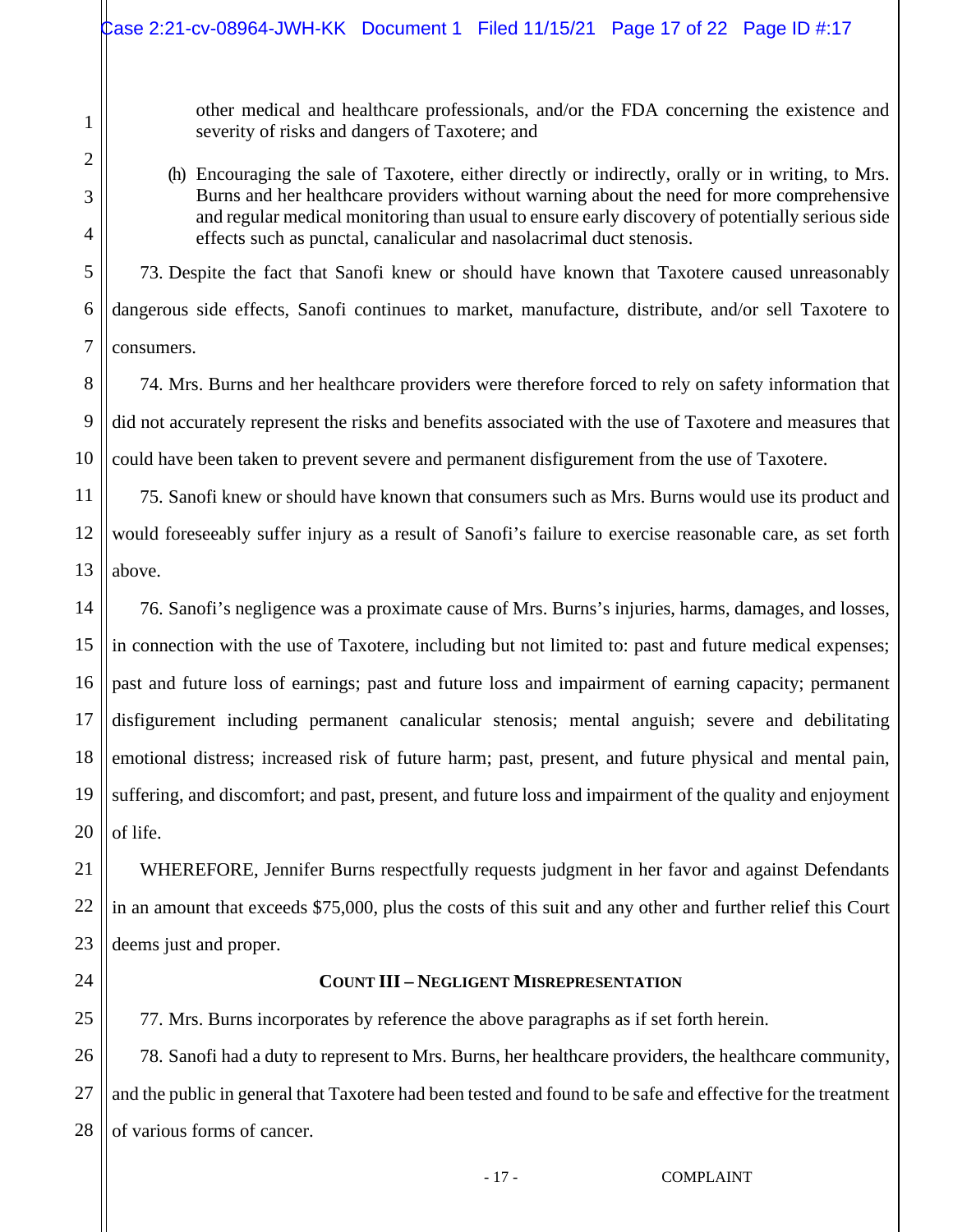other medical and healthcare professionals, and/or the FDA concerning the existence and severity of risks and dangers of Taxotere; and

### (h) Encouraging the sale of Taxotere, either directly or indirectly, orally or in writing, to Mrs. Burns and her healthcare providers without warning about the need for more comprehensive and regular medical monitoring than usual to ensure early discovery of potentially serious side effects such as punctal, canalicular and nasolacrimal duct stenosis.

5 6 7 73. Despite the fact that Sanofi knew or should have known that Taxotere caused unreasonably dangerous side effects, Sanofi continues to market, manufacture, distribute, and/or sell Taxotere to consumers.

74. Mrs. Burns and her healthcare providers were therefore forced to rely on safety information that did not accurately represent the risks and benefits associated with the use of Taxotere and measures that could have been taken to prevent severe and permanent disfigurement from the use of Taxotere.

75. Sanofi knew or should have known that consumers such as Mrs. Burns would use its product and would foreseeably suffer injury as a result of Sanofi's failure to exercise reasonable care, as set forth above.

14 15 16 17 18 19 20 76. Sanofi's negligence was a proximate cause of Mrs. Burns's injuries, harms, damages, and losses, in connection with the use of Taxotere, including but not limited to: past and future medical expenses; past and future loss of earnings; past and future loss and impairment of earning capacity; permanent disfigurement including permanent canalicular stenosis; mental anguish; severe and debilitating emotional distress; increased risk of future harm; past, present, and future physical and mental pain, suffering, and discomfort; and past, present, and future loss and impairment of the quality and enjoyment of life.

WHEREFORE, Jennifer Burns respectfully requests judgment in her favor and against Defendants in an amount that exceeds \$75,000, plus the costs of this suit and any other and further relief this Court deems just and proper.

24

25

21

22

23

1

2

3

4

8

9

10

11

12

13

### **COUNT III – NEGLIGENT MISREPRESENTATION**

77. Mrs. Burns incorporates by reference the above paragraphs as if set forth herein.

26 27 28 78. Sanofi had a duty to represent to Mrs. Burns, her healthcare providers, the healthcare community, and the public in general that Taxotere had been tested and found to be safe and effective for the treatment of various forms of cancer.

- 17 - COMPLAINT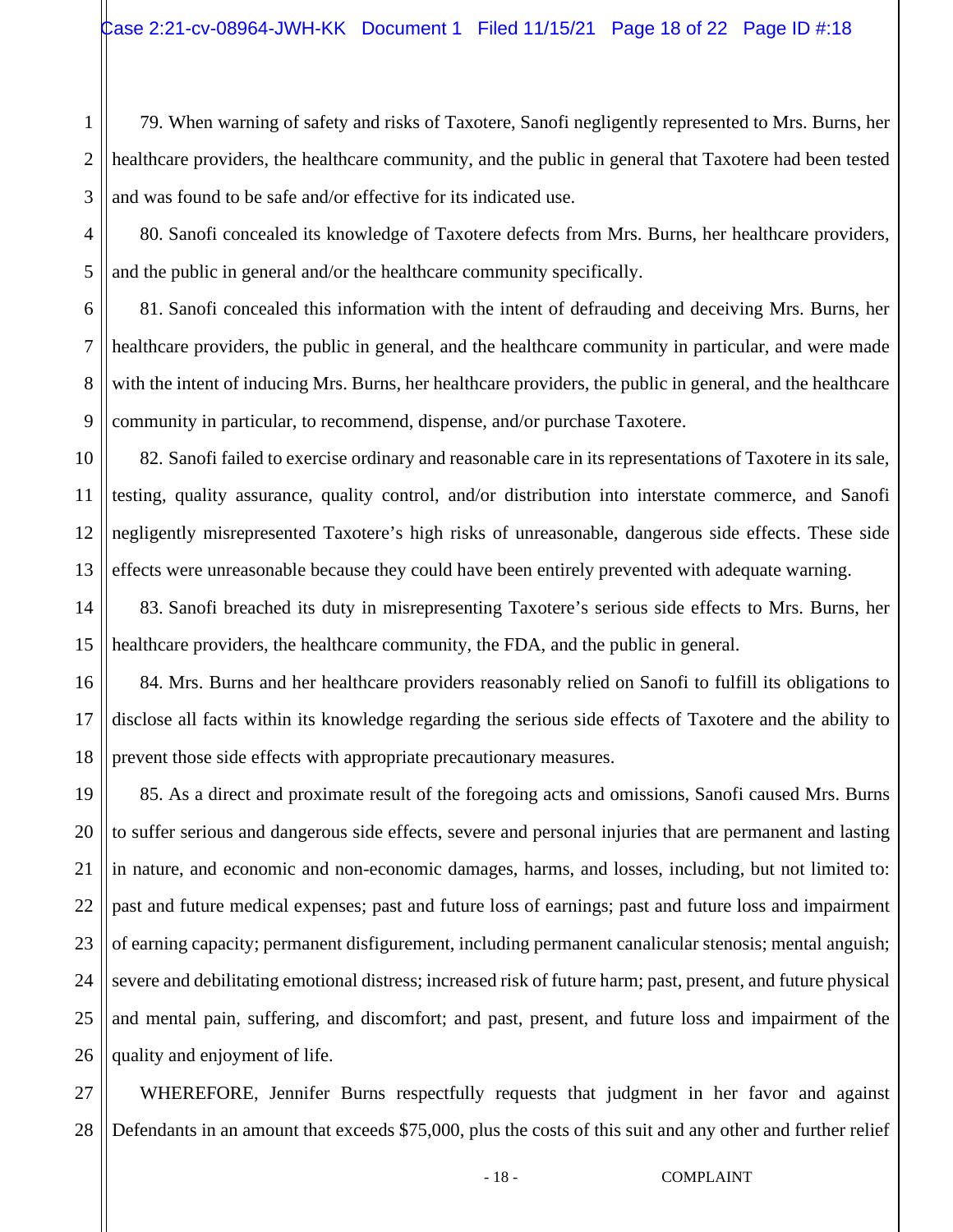1 2 3 79. When warning of safety and risks of Taxotere, Sanofi negligently represented to Mrs. Burns, her healthcare providers, the healthcare community, and the public in general that Taxotere had been tested and was found to be safe and/or effective for its indicated use.

4 5 80. Sanofi concealed its knowledge of Taxotere defects from Mrs. Burns, her healthcare providers, and the public in general and/or the healthcare community specifically.

6 7 8 9 81. Sanofi concealed this information with the intent of defrauding and deceiving Mrs. Burns, her healthcare providers, the public in general, and the healthcare community in particular, and were made with the intent of inducing Mrs. Burns, her healthcare providers, the public in general, and the healthcare community in particular, to recommend, dispense, and/or purchase Taxotere.

10 11 12 13 82. Sanofi failed to exercise ordinary and reasonable care in its representations of Taxotere in its sale, testing, quality assurance, quality control, and/or distribution into interstate commerce, and Sanofi negligently misrepresented Taxotere's high risks of unreasonable, dangerous side effects. These side effects were unreasonable because they could have been entirely prevented with adequate warning.

14 15 83. Sanofi breached its duty in misrepresenting Taxotere's serious side effects to Mrs. Burns, her healthcare providers, the healthcare community, the FDA, and the public in general.

16 17 18 84. Mrs. Burns and her healthcare providers reasonably relied on Sanofi to fulfill its obligations to disclose all facts within its knowledge regarding the serious side effects of Taxotere and the ability to prevent those side effects with appropriate precautionary measures.

19 20 21 22 23 24 25 26 85. As a direct and proximate result of the foregoing acts and omissions, Sanofi caused Mrs. Burns to suffer serious and dangerous side effects, severe and personal injuries that are permanent and lasting in nature, and economic and non-economic damages, harms, and losses, including, but not limited to: past and future medical expenses; past and future loss of earnings; past and future loss and impairment of earning capacity; permanent disfigurement, including permanent canalicular stenosis; mental anguish; severe and debilitating emotional distress; increased risk of future harm; past, present, and future physical and mental pain, suffering, and discomfort; and past, present, and future loss and impairment of the quality and enjoyment of life.

27 28 WHEREFORE, Jennifer Burns respectfully requests that judgment in her favor and against Defendants in an amount that exceeds \$75,000, plus the costs of this suit and any other and further relief

- 18 - COMPLAINT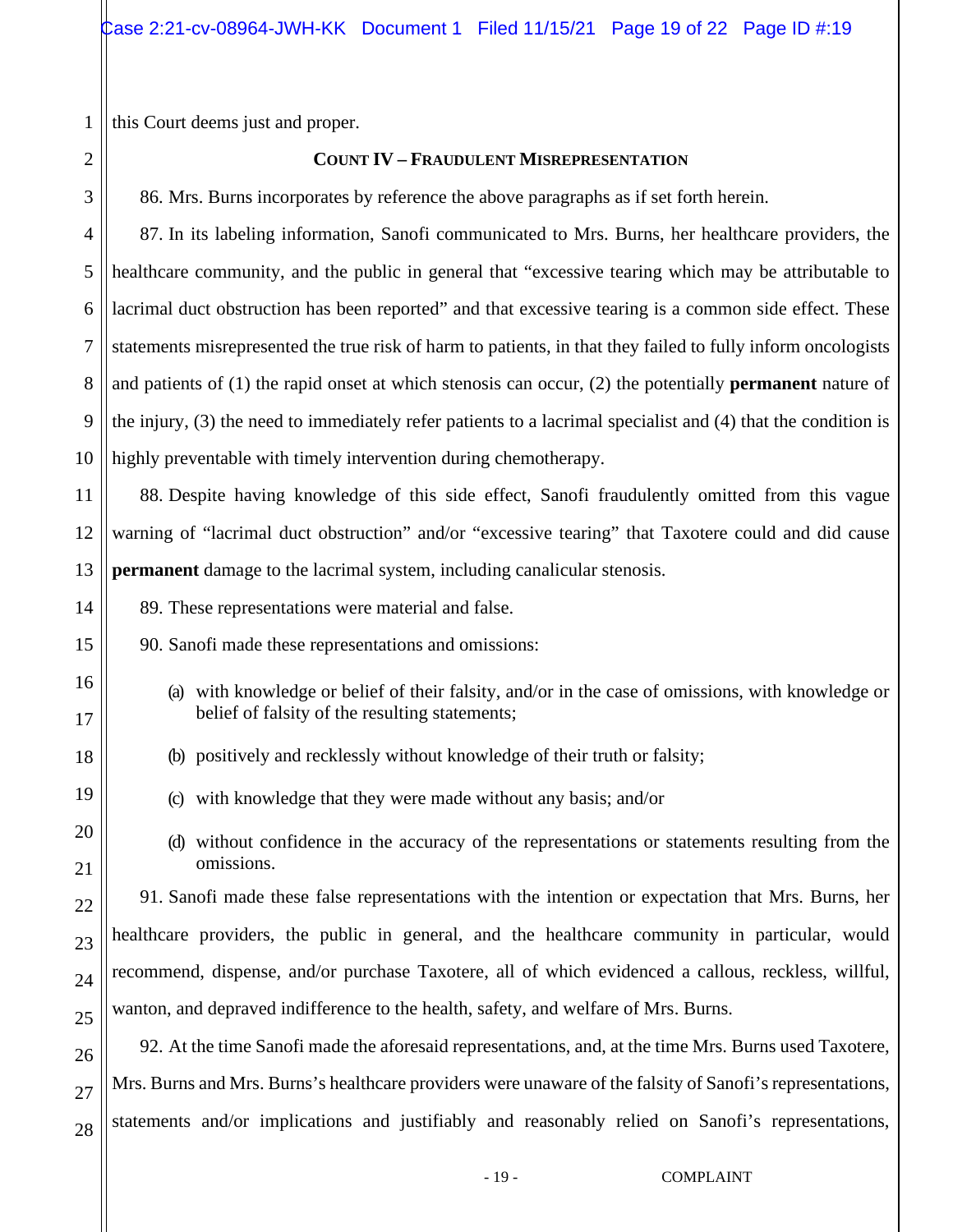this Court deems just and proper.

### **COUNT IV – FRAUDULENT MISREPRESENTATION**

86. Mrs. Burns incorporates by reference the above paragraphs as if set forth herein.

87. In its labeling information, Sanofi communicated to Mrs. Burns, her healthcare providers, the healthcare community, and the public in general that "excessive tearing which may be attributable to lacrimal duct obstruction has been reported" and that excessive tearing is a common side effect. These statements misrepresented the true risk of harm to patients, in that they failed to fully inform oncologists and patients of (1) the rapid onset at which stenosis can occur, (2) the potentially **permanent** nature of the injury, (3) the need to immediately refer patients to a lacrimal specialist and (4) that the condition is highly preventable with timely intervention during chemotherapy.

88. Despite having knowledge of this side effect, Sanofi fraudulently omitted from this vague warning of "lacrimal duct obstruction" and/or "excessive tearing" that Taxotere could and did cause **permanent** damage to the lacrimal system, including canalicular stenosis.

- 89. These representations were material and false.
- 90. Sanofi made these representations and omissions:
	- (a) with knowledge or belief of their falsity, and/or in the case of omissions, with knowledge or belief of falsity of the resulting statements;
	- (b) positively and recklessly without knowledge of their truth or falsity;
	- (c) with knowledge that they were made without any basis; and/or
	- (d) without confidence in the accuracy of the representations or statements resulting from the omissions.

91. Sanofi made these false representations with the intention or expectation that Mrs. Burns, her healthcare providers, the public in general, and the healthcare community in particular, would recommend, dispense, and/or purchase Taxotere, all of which evidenced a callous, reckless, willful, wanton, and depraved indifference to the health, safety, and welfare of Mrs. Burns.

92. At the time Sanofi made the aforesaid representations, and, at the time Mrs. Burns used Taxotere, Mrs. Burns and Mrs. Burns's healthcare providers were unaware of the falsity of Sanofi's representations, statements and/or implications and justifiably and reasonably relied on Sanofi's representations,

1

2

- 19 - COMPLAINT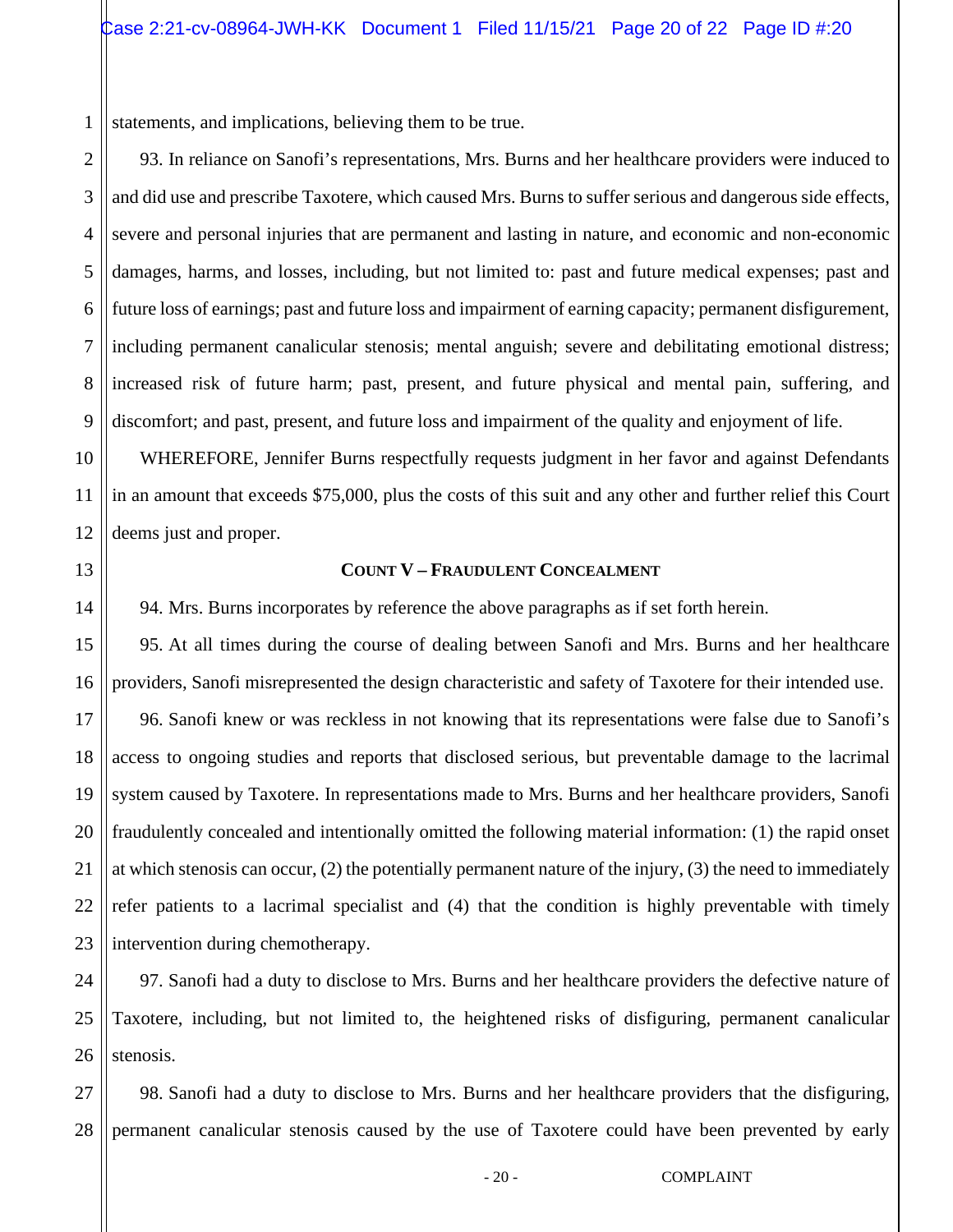1 statements, and implications, believing them to be true.

2 3 4 5 6 7 8 9 93. In reliance on Sanofi's representations, Mrs. Burns and her healthcare providers were induced to and did use and prescribe Taxotere, which caused Mrs. Burns to suffer serious and dangerous side effects, severe and personal injuries that are permanent and lasting in nature, and economic and non-economic damages, harms, and losses, including, but not limited to: past and future medical expenses; past and future loss of earnings; past and future loss and impairment of earning capacity; permanent disfigurement, including permanent canalicular stenosis; mental anguish; severe and debilitating emotional distress; increased risk of future harm; past, present, and future physical and mental pain, suffering, and discomfort; and past, present, and future loss and impairment of the quality and enjoyment of life.

WHEREFORE, Jennifer Burns respectfully requests judgment in her favor and against Defendants in an amount that exceeds \$75,000, plus the costs of this suit and any other and further relief this Court deems just and proper.

13

14

21

10

11

12

### **COUNT V – FRAUDULENT CONCEALMENT**

94. Mrs. Burns incorporates by reference the above paragraphs as if set forth herein.

15 16 17 18 19 20 22 23 95. At all times during the course of dealing between Sanofi and Mrs. Burns and her healthcare providers, Sanofi misrepresented the design characteristic and safety of Taxotere for their intended use. 96. Sanofi knew or was reckless in not knowing that its representations were false due to Sanofi's access to ongoing studies and reports that disclosed serious, but preventable damage to the lacrimal system caused by Taxotere. In representations made to Mrs. Burns and her healthcare providers, Sanofi fraudulently concealed and intentionally omitted the following material information: (1) the rapid onset at which stenosis can occur, (2) the potentially permanent nature of the injury, (3) the need to immediately refer patients to a lacrimal specialist and (4) that the condition is highly preventable with timely intervention during chemotherapy.

24 25 26 97. Sanofi had a duty to disclose to Mrs. Burns and her healthcare providers the defective nature of Taxotere, including, but not limited to, the heightened risks of disfiguring, permanent canalicular stenosis.

27 28 98. Sanofi had a duty to disclose to Mrs. Burns and her healthcare providers that the disfiguring, permanent canalicular stenosis caused by the use of Taxotere could have been prevented by early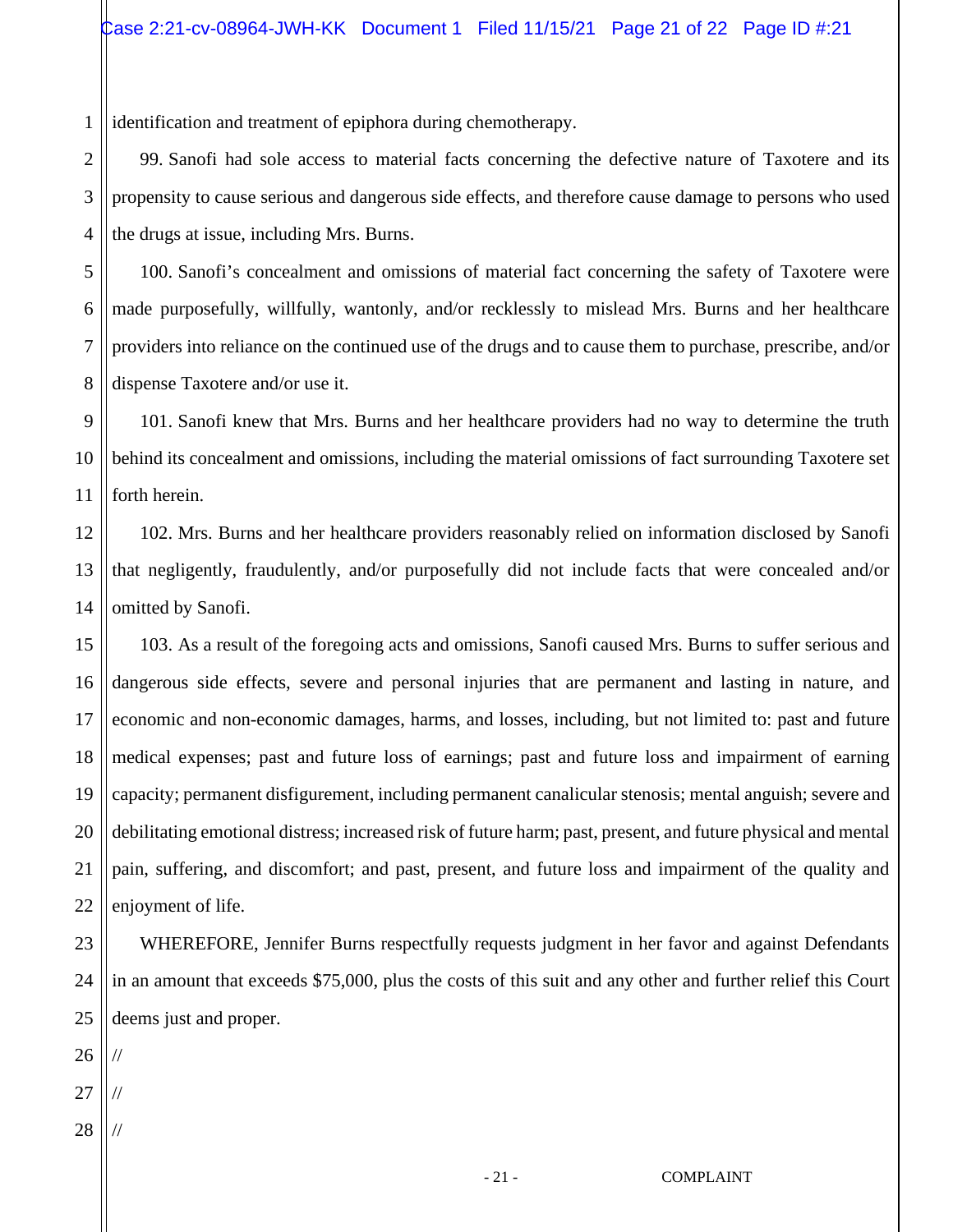1 identification and treatment of epiphora during chemotherapy.

99. Sanofi had sole access to material facts concerning the defective nature of Taxotere and its propensity to cause serious and dangerous side effects, and therefore cause damage to persons who used the drugs at issue, including Mrs. Burns.

5 6 7 8 100. Sanofi's concealment and omissions of material fact concerning the safety of Taxotere were made purposefully, willfully, wantonly, and/or recklessly to mislead Mrs. Burns and her healthcare providers into reliance on the continued use of the drugs and to cause them to purchase, prescribe, and/or dispense Taxotere and/or use it.

9 10 11 101. Sanofi knew that Mrs. Burns and her healthcare providers had no way to determine the truth behind its concealment and omissions, including the material omissions of fact surrounding Taxotere set forth herein.

12 13 14 102. Mrs. Burns and her healthcare providers reasonably relied on information disclosed by Sanofi that negligently, fraudulently, and/or purposefully did not include facts that were concealed and/or omitted by Sanofi.

15 16 17 18 19 20 21 22 103. As a result of the foregoing acts and omissions, Sanofi caused Mrs. Burns to suffer serious and dangerous side effects, severe and personal injuries that are permanent and lasting in nature, and economic and non-economic damages, harms, and losses, including, but not limited to: past and future medical expenses; past and future loss of earnings; past and future loss and impairment of earning capacity; permanent disfigurement, including permanent canalicular stenosis; mental anguish; severe and debilitating emotional distress; increased risk of future harm; past, present, and future physical and mental pain, suffering, and discomfort; and past, present, and future loss and impairment of the quality and enjoyment of life.

23 24 25 WHEREFORE, Jennifer Burns respectfully requests judgment in her favor and against Defendants in an amount that exceeds \$75,000, plus the costs of this suit and any other and further relief this Court deems just and proper.

26 //

2

3

- 27 //
- 28 //